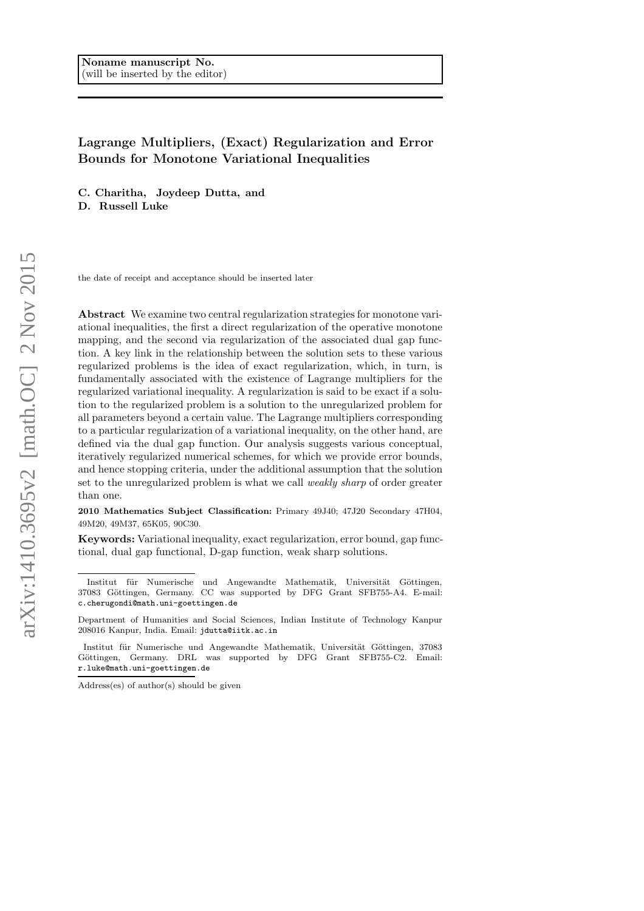# Lagrange Multipliers, (Exact) Regularization and Error Bounds for Monotone Variational Inequalities

C. Charitha, Joydeep Dutta, and

D. Russell Luke

the date of receipt and acceptance should be inserted later

Abstract We examine two central regularization strategies for monotone variational inequalities, the first a direct regularization of the operative monotone mapping, and the second via regularization of the associated dual gap function. A key link in the relationship between the solution sets to these various regularized problems is the idea of exact regularization, which, in turn, is fundamentally associated with the existence of Lagrange multipliers for the regularized variational inequality. A regularization is said to be exact if a solution to the regularized problem is a solution to the unregularized problem for all parameters beyond a certain value. The Lagrange multipliers corresponding to a particular regularization of a variational inequality, on the other hand, are defined via the dual gap function. Our analysis suggests various conceptual, iteratively regularized numerical schemes, for which we provide error bounds, and hence stopping criteria, under the additional assumption that the solution set to the unregularized problem is what we call weakly sharp of order greater than one.

2010 Mathematics Subject Classification: Primary 49J40; 47J20 Secondary 47H04, 49M20, 49M37, 65K05, 90C30.

Keywords: Variational inequality, exact regularization, error bound, gap functional, dual gap functional, D-gap function, weak sharp solutions.

Address(es) of author(s) should be given

Institut für Numerische und Angewandte Mathematik, Universität Göttingen, 37083 Göttingen, Germany. CC was supported by DFG Grant SFB755-A4. E-mail: c.cherugondi@math.uni-goettingen.de

Department of Humanities and Social Sciences, Indian Institute of Technology Kanpur 208016 Kanpur, India. Email: jdutta@iitk.ac.in

Institut für Numerische und Angewandte Mathematik, Universität Göttingen, 37083 Göttingen, Germany. DRL was supported by DFG Grant SFB755-C2. Email: r.luke@math.uni-goettingen.de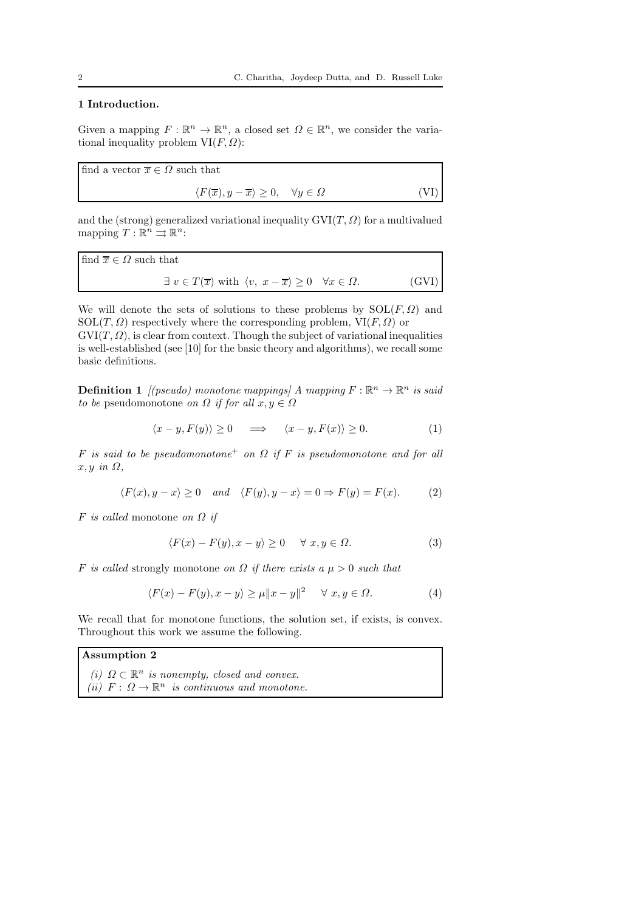## 1 Introduction.

Given a mapping  $F : \mathbb{R}^n \to \mathbb{R}^n$ , a closed set  $\Omega \in \mathbb{R}^n$ , we consider the variational inequality problem  $VI(F, \Omega)$ :

find a vector  $\overline{x} \in \Omega$  such that  $\langle F(\overline{x}), y - \overline{x} \rangle \ge 0, \quad \forall y \in \Omega$  (VI)

and the (strong) generalized variational inequality  $\mathrm{GVI}(T,\Omega)$  for a multivalued mapping  $T: \mathbb{R}^n \rightrightarrows \mathbb{R}^n$ :

find 
$$
\overline{x} \in \Omega
$$
 such that  
\n $\exists v \in T(\overline{x})$  with  $\langle v, x - \overline{x} \rangle \ge 0 \quad \forall x \in \Omega$ . (GVI)

We will denote the sets of solutions to these problems by  $SOL(F, \Omega)$  and  $SOL(T, \Omega)$  respectively where the corresponding problem,  $VI(F, \Omega)$  or

 $GVI(T, \Omega)$ , is clear from context. Though the subject of variational inequalities is well-established (see [10] for the basic theory and algorithms), we recall some basic definitions.

**Definition 1** [(pseudo) monotone mappings] A mapping  $F : \mathbb{R}^n \to \mathbb{R}^n$  is said to be pseudomonotone on  $\Omega$  if for all  $x, y \in \Omega$ 

$$
\langle x - y, F(y) \rangle \ge 0 \quad \implies \quad \langle x - y, F(x) \rangle \ge 0. \tag{1}
$$

F is said to be pseudomonotone<sup>+</sup> on  $\Omega$  if F is pseudomonotone and for all  $x, y \in \Omega$ ,

$$
\langle F(x), y - x \rangle \ge 0 \quad and \quad \langle F(y), y - x \rangle = 0 \Rightarrow F(y) = F(x). \tag{2}
$$

 $F$  is called monotone on  $\Omega$  if

$$
\langle F(x) - F(y), x - y \rangle \ge 0 \quad \forall x, y \in \Omega.
$$
 (3)

F is called strongly monotone on  $\Omega$  if there exists a  $\mu > 0$  such that

$$
\langle F(x) - F(y), x - y \rangle \ge \mu \|x - y\|^2 \quad \forall \ x, y \in \Omega.
$$
 (4)

We recall that for monotone functions, the solution set, if exists, is convex. Throughout this work we assume the following.

### Assumption 2

(i)  $\Omega \subset \mathbb{R}^n$  is nonempty, closed and convex. (ii)  $F: \Omega \to \mathbb{R}^n$  is continuous and monotone.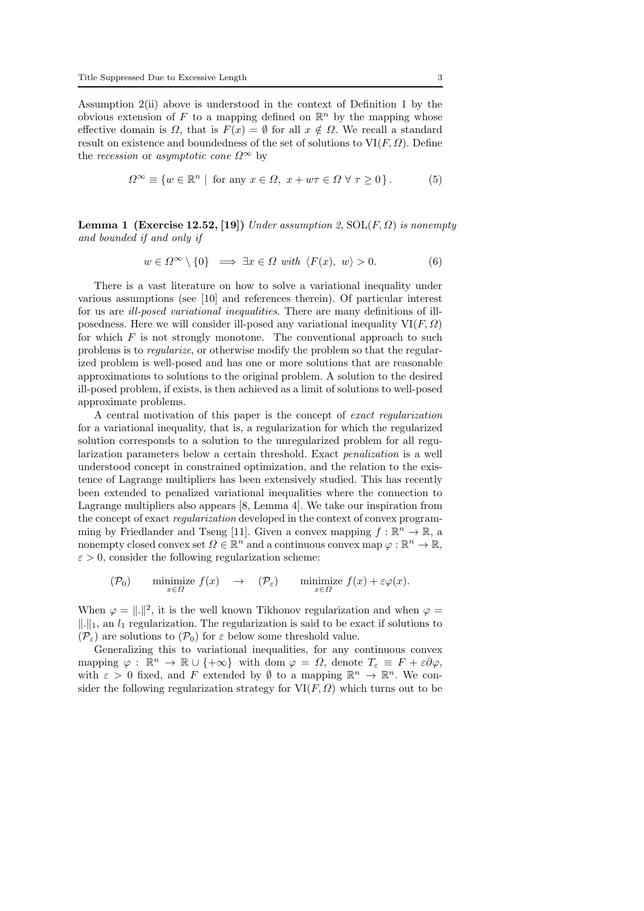Assumption 2(ii) above is understood in the context of Definition 1 by the obvious extension of F to a mapping defined on  $\mathbb{R}^n$  by the mapping whose effective domain is  $\Omega$ , that is  $F(x) = \emptyset$  for all  $x \notin \Omega$ . We recall a standard result on existence and boundedness of the set of solutions to  $VI(F, \Omega)$ . Define the recession or asymptotic cone  $\Omega^{\infty}$  by

$$
\Omega^{\infty} \equiv \{ w \in \mathbb{R}^n \mid \text{ for any } x \in \Omega, \ x + w\tau \in \Omega \ \forall \ \tau \ge 0 \} \, . \tag{5}
$$

**Lemma 1 (Exercise 12.52, [19])** Under assumption 2,  $SOL(F, \Omega)$  is nonempty and bounded if and only if

$$
w \in \Omega^{\infty} \setminus \{0\} \implies \exists x \in \Omega \text{ with } \langle F(x), w \rangle > 0. \tag{6}
$$

There is a vast literature on how to solve a variational inequality under various assumptions (see [10] and references therein). Of particular interest for us are ill-posed variational inequalities. There are many definitions of illposedness. Here we will consider ill-posed any variational inequality  $VI(F, \Omega)$ for which  $F$  is not strongly monotone. The conventional approach to such problems is to regularize, or otherwise modify the problem so that the regularized problem is well-posed and has one or more solutions that are reasonable approximations to solutions to the original problem. A solution to the desired ill-posed problem, if exists, is then achieved as a limit of solutions to well-posed approximate problems.

A central motivation of this paper is the concept of exact regularization for a variational inequality, that is, a regularization for which the regularized solution corresponds to a solution to the unregularized problem for all regularization parameters below a certain threshold. Exact penalization is a well understood concept in constrained optimization, and the relation to the existence of Lagrange multipliers has been extensively studied. This has recently been extended to penalized variational inequalities where the connection to Lagrange multipliers also appears [8, Lemma 4]. We take our inspiration from the concept of exact regularization developed in the context of convex programming by Friedlander and Tseng [11]. Given a convex mapping  $f : \mathbb{R}^n \to \mathbb{R}$ , a nonempty closed convex set  $\Omega \in \mathbb{R}^n$  and a continuous convex map  $\varphi : \mathbb{R}^n \to \mathbb{R}$ ,  $\varepsilon > 0$ , consider the following regularization scheme:

$$
(\mathcal{P}_0) \qquad \underset{x \in \Omega}{\text{minimize}} \ f(x) \quad \to \quad (\mathcal{P}_{\varepsilon}) \qquad \underset{x \in \Omega}{\text{minimize}} \ f(x) + \varepsilon \varphi(x).
$$

When  $\varphi = \| \cdot \|^2$ , it is the well known Tikhonov regularization and when  $\varphi =$  $\|\cdot\|_1$ , an  $l_1$  regularization. The regularization is said to be exact if solutions to  $(\mathcal{P}_{\varepsilon})$  are solutions to  $(\mathcal{P}_{0})$  for  $\varepsilon$  below some threshold value.

Generalizing this to variational inequalities, for any continuous convex mapping  $\varphi : \mathbb{R}^n \to \mathbb{R} \cup \{+\infty\}$  with dom  $\varphi = \Omega$ , denote  $T_{\varepsilon} \equiv F + \varepsilon \partial \varphi$ , with  $\varepsilon > 0$  fixed, and F extended by  $\emptyset$  to a mapping  $\mathbb{R}^n \to \mathbb{R}^n$ . We consider the following regularization strategy for  $VI(F, \Omega)$  which turns out to be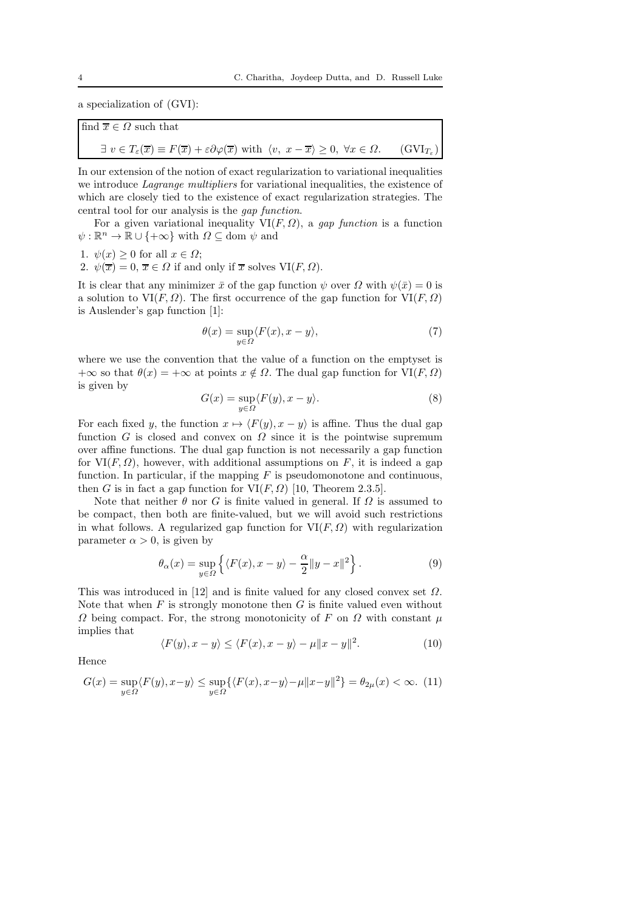a specialization of (GVI):

find 
$$
\overline{x} \in \Omega
$$
 such that  
\n $\exists v \in T_{\varepsilon}(\overline{x}) \equiv F(\overline{x}) + \varepsilon \partial \varphi(\overline{x})$  with  $\langle v, x - \overline{x} \rangle \ge 0, \forall x \in \Omega$ . (GVI<sub>T<sub>\varepsilon</sub></sub>)

In our extension of the notion of exact regularization to variational inequalities we introduce *Lagrange multipliers* for variational inequalities, the existence of which are closely tied to the existence of exact regularization strategies. The central tool for our analysis is the gap function.

For a given variational inequality  $VI(F, \Omega)$ , a gap function is a function  $\psi : \mathbb{R}^n \to \mathbb{R} \cup \{ +\infty \}$  with  $\Omega \subseteq \text{dom } \psi$  and

1.  $\psi(x) \geq 0$  for all  $x \in \Omega$ ;

2.  $\psi(\overline{x}) = 0$ ,  $\overline{x} \in \Omega$  if and only if  $\overline{x}$  solves VI(*F*,  $\Omega$ ).

It is clear that any minimizer  $\bar{x}$  of the gap function  $\psi$  over  $\Omega$  with  $\psi(\bar{x}) = 0$  is a solution to  $VI(F, \Omega)$ . The first occurrence of the gap function for  $VI(F, \Omega)$ is Auslender's gap function [1]:

$$
\theta(x) = \sup_{y \in \Omega} \langle F(x), x - y \rangle,\tag{7}
$$

where we use the convention that the value of a function on the emptyset is  $+\infty$  so that  $\theta(x) = +\infty$  at points  $x \notin \Omega$ . The dual gap function for  $\text{VI}(F, \Omega)$ is given by

$$
G(x) = \sup_{y \in \Omega} \langle F(y), x - y \rangle.
$$
 (8)

For each fixed y, the function  $x \mapsto \langle F(y), x - y \rangle$  is affine. Thus the dual gap function G is closed and convex on  $\Omega$  since it is the pointwise supremum over affine functions. The dual gap function is not necessarily a gap function for  $VI(F, \Omega)$ , however, with additional assumptions on F, it is indeed a gap function. In particular, if the mapping  $F$  is pseudomonotone and continuous, then G is in fact a gap function for  $VI(F, \Omega)$  [10, Theorem 2.3.5].

Note that neither  $\theta$  nor G is finite valued in general. If  $\Omega$  is assumed to be compact, then both are finite-valued, but we will avoid such restrictions in what follows. A regularized gap function for  $VI(F, \Omega)$  with regularization parameter  $\alpha > 0$ , is given by

$$
\theta_{\alpha}(x) = \sup_{y \in \Omega} \left\{ \langle F(x), x - y \rangle - \frac{\alpha}{2} ||y - x||^2 \right\}.
$$
 (9)

This was introduced in [12] and is finite valued for any closed convex set  $\Omega$ . Note that when  $F$  is strongly monotone then  $G$  is finite valued even without  $\Omega$  being compact. For, the strong monotonicity of F on  $\Omega$  with constant  $\mu$ implies that

$$
\langle F(y), x - y \rangle \le \langle F(x), x - y \rangle - \mu ||x - y||^2. \tag{10}
$$

Hence

$$
G(x) = \sup_{y \in \Omega} \langle F(y), x - y \rangle \le \sup_{y \in \Omega} \{ \langle F(x), x - y \rangle - \mu ||x - y||^2 \} = \theta_{2\mu}(x) < \infty. \tag{11}
$$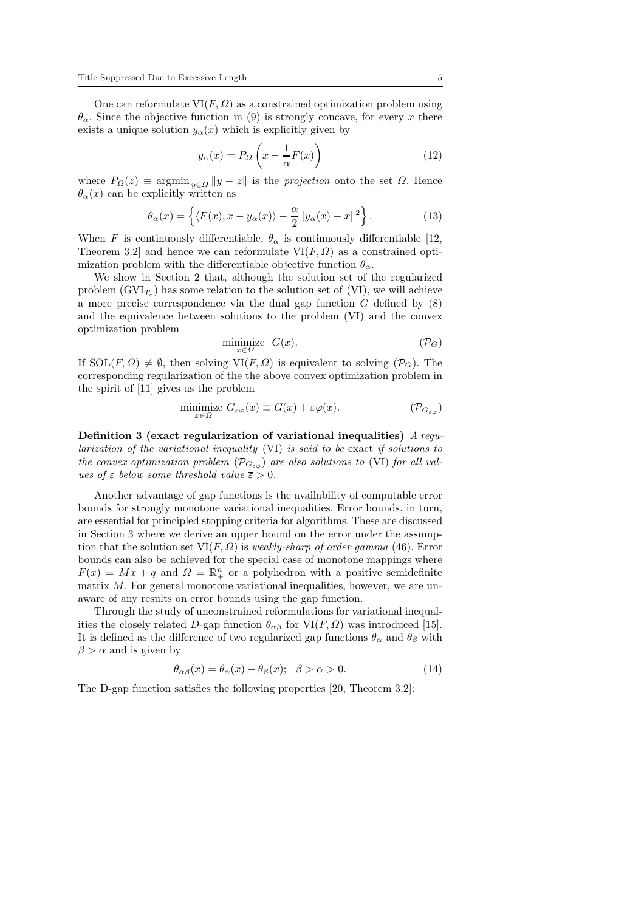One can reformulate  $VI(F, \Omega)$  as a constrained optimization problem using  $\theta_{\alpha}$ . Since the objective function in (9) is strongly concave, for every x there exists a unique solution  $y_\alpha(x)$  which is explicitly given by

$$
y_{\alpha}(x) = P_{\Omega} \left( x - \frac{1}{\alpha} F(x) \right)
$$
 (12)

where  $P_{\Omega}(z) \equiv \operatorname{argmin}_{y \in \Omega} \|y - z\|$  is the projection onto the set  $\Omega$ . Hence  $\theta_{\alpha}(x)$  can be explicitly written as

$$
\theta_{\alpha}(x) = \left\{ \langle F(x), x - y_{\alpha}(x) \rangle - \frac{\alpha}{2} || y_{\alpha}(x) - x ||^2 \right\}.
$$
 (13)

When F is continuously differentiable,  $\theta_{\alpha}$  is continuously differentiable [12, Theorem 3.2] and hence we can reformulate  $VI(F, \Omega)$  as a constrained optimization problem with the differentiable objective function  $\theta_{\alpha}$ .

We show in Section 2 that, although the solution set of the regularized problem  $(GVI_{T_{\varepsilon}})$  has some relation to the solution set of (VI), we will achieve a more precise correspondence via the dual gap function  $G$  defined by  $(8)$ and the equivalence between solutions to the problem (VI) and the convex optimization problem

$$
\underset{x \in \Omega}{\text{minimize}} \quad G(x). \tag{P_G}
$$

If  $SOL(F, \Omega) \neq \emptyset$ , then solving  $VI(F, \Omega)$  is equivalent to solving  $(\mathcal{P}_G)$ . The corresponding regularization of the the above convex optimization problem in the spirit of [11] gives us the problem

$$
\underset{x \in \Omega}{\text{minimize}} \ G_{\varepsilon\varphi}(x) \equiv G(x) + \varepsilon\varphi(x). \tag{P_{G_{\varepsilon\varphi}}}
$$

Definition 3 (exact regularization of variational inequalities) A regularization of the variational inequality (VI) is said to be exact if solutions to the convex optimization problem  $(\mathcal{P}_{G_{\varepsilon\varphi}})$  are also solutions to (VI) for all values of  $\varepsilon$  below some threshold value  $\overline{\varepsilon} > 0$ .

Another advantage of gap functions is the availability of computable error bounds for strongly monotone variational inequalities. Error bounds, in turn, are essential for principled stopping criteria for algorithms. These are discussed in Section 3 where we derive an upper bound on the error under the assumption that the solution set  $VI(F, \Omega)$  is *weakly-sharp of order gamma* (46). Error bounds can also be achieved for the special case of monotone mappings where  $F(x) = Mx + q$  and  $\Omega = \mathbb{R}^n_+$  or a polyhedron with a positive semidefinite matrix  $M$ . For general monotone variational inequalities, however, we are unaware of any results on error bounds using the gap function.

Through the study of unconstrained reformulations for variational inequalities the closely related D-gap function  $\theta_{\alpha\beta}$  for VI(F,  $\Omega$ ) was introduced [15]. It is defined as the difference of two regularized gap functions  $\theta_{\alpha}$  and  $\theta_{\beta}$  with  $\beta > \alpha$  and is given by

$$
\theta_{\alpha\beta}(x) = \theta_{\alpha}(x) - \theta_{\beta}(x); \quad \beta > \alpha > 0.
$$
 (14)

The D-gap function satisfies the following properties [20, Theorem 3.2]: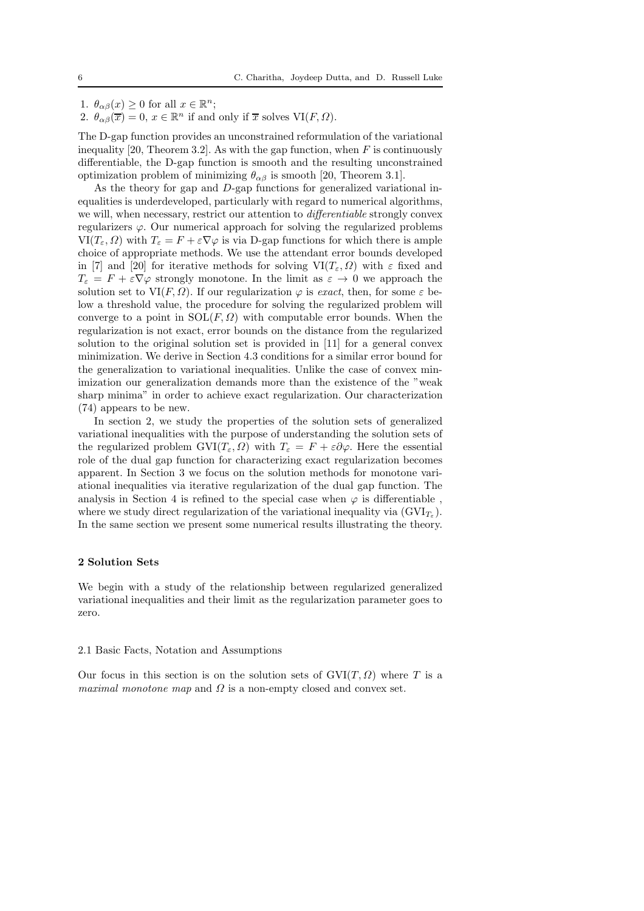1.  $\theta_{\alpha\beta}(x) \ge 0$  for all  $x \in \mathbb{R}^n$ ;

2.  $\theta_{\alpha\beta}(\overline{x}) = 0$ ,  $x \in \mathbb{R}^n$  if and only if  $\overline{x}$  solves  $\text{VI}(F, \Omega)$ .

The D-gap function provides an unconstrained reformulation of the variational inequality [20, Theorem 3.2]. As with the gap function, when  $F$  is continuously differentiable, the D-gap function is smooth and the resulting unconstrained optimization problem of minimizing  $\theta_{\alpha\beta}$  is smooth [20, Theorem 3.1].

As the theory for gap and D-gap functions for generalized variational inequalities is underdeveloped, particularly with regard to numerical algorithms, we will, when necessary, restrict our attention to differentiable strongly convex regularizers  $\varphi$ . Our numerical approach for solving the regularized problems  $VI(T_{\varepsilon}, \Omega)$  with  $T_{\varepsilon} = F + \varepsilon \nabla \varphi$  is via D-gap functions for which there is ample choice of appropriate methods. We use the attendant error bounds developed in [7] and [20] for iterative methods for solving  $VI(T_{\varepsilon}, \Omega)$  with  $\varepsilon$  fixed and  $T_{\varepsilon} = F + \varepsilon \nabla \varphi$  strongly monotone. In the limit as  $\varepsilon \to 0$  we approach the solution set to VI $(F, \Omega)$ . If our regularization  $\varphi$  is exact, then, for some  $\varepsilon$  below a threshold value, the procedure for solving the regularized problem will converge to a point in  $SOL(F, \Omega)$  with computable error bounds. When the regularization is not exact, error bounds on the distance from the regularized solution to the original solution set is provided in [11] for a general convex minimization. We derive in Section 4.3 conditions for a similar error bound for the generalization to variational inequalities. Unlike the case of convex minimization our generalization demands more than the existence of the "weak sharp minima" in order to achieve exact regularization. Our characterization (74) appears to be new.

In section 2, we study the properties of the solution sets of generalized variational inequalities with the purpose of understanding the solution sets of the regularized problem  $\text{GVI}(T_{\varepsilon}, \Omega)$  with  $T_{\varepsilon} = F + \varepsilon \partial \varphi$ . Here the essential role of the dual gap function for characterizing exact regularization becomes apparent. In Section 3 we focus on the solution methods for monotone variational inequalities via iterative regularization of the dual gap function. The analysis in Section 4 is refined to the special case when  $\varphi$  is differentiable, where we study direct regularization of the variational inequality via  $(GVI_{T_{\varepsilon}})$ . In the same section we present some numerical results illustrating the theory.

### 2 Solution Sets

We begin with a study of the relationship between regularized generalized variational inequalities and their limit as the regularization parameter goes to zero.

#### 2.1 Basic Facts, Notation and Assumptions

Our focus in this section is on the solution sets of  $GVI(T, \Omega)$  where T is a maximal monotone map and  $\Omega$  is a non-empty closed and convex set.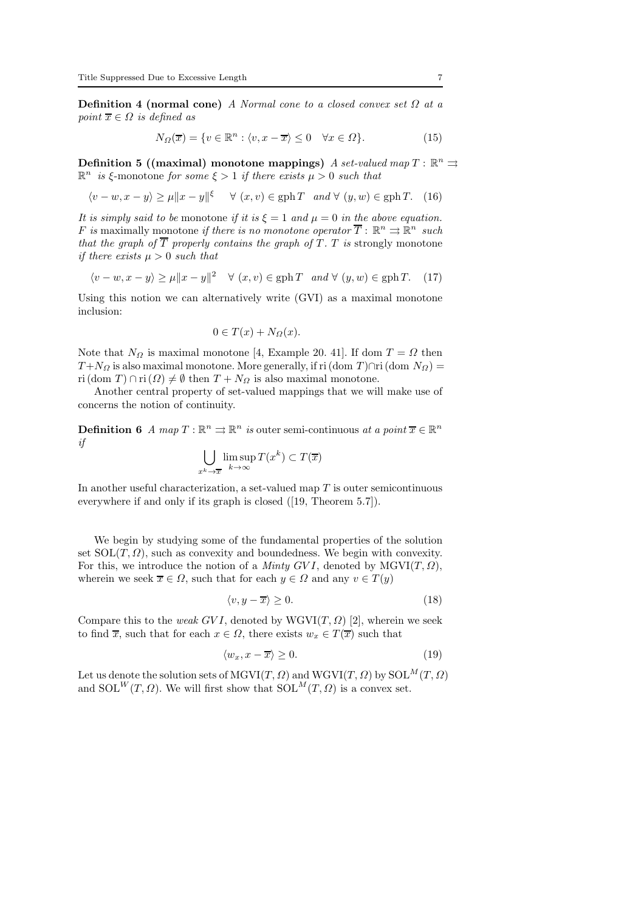**Definition 4 (normal cone)** A Normal cone to a closed convex set  $\Omega$  at a point  $\overline{x} \in \Omega$  is defined as

$$
N_{\Omega}(\overline{x}) = \{ v \in \mathbb{R}^n : \langle v, x - \overline{x} \rangle \le 0 \quad \forall x \in \Omega \}. \tag{15}
$$

Definition 5 ((maximal) monotone mappings) A set-valued map  $T: \mathbb{R}^n \rightrightarrows$  $\mathbb{R}^n$  is  $\xi$ -monotone for some  $\xi > 1$  if there exists  $\mu > 0$  such that

$$
\langle v - w, x - y \rangle \ge \mu \|x - y\|^{\xi} \quad \forall (x, v) \in \text{gph } T \text{ and } \forall (y, w) \in \text{gph } T. \tag{16}
$$

It is simply said to be monotone if it is  $\xi = 1$  and  $\mu = 0$  in the above equation. F is maximally monotone if there is no monotone operator  $\overline{T}$  :  $\mathbb{R}^n \rightrightarrows \mathbb{R}^n$  such that the graph of  $\overline{T}$  properly contains the graph of T. T is strongly monotone if there exists  $\mu > 0$  such that

$$
\langle v - w, x - y \rangle \ge \mu \|x - y\|^2 \quad \forall (x, v) \in \text{gph}\,T \quad \text{and} \quad \forall (y, w) \in \text{gph}\,T. \tag{17}
$$

Using this notion we can alternatively write (GVI) as a maximal monotone inclusion:

$$
0 \in T(x) + N_{\Omega}(x).
$$

Note that  $N_{\Omega}$  is maximal monotone [4, Example 20. 41]. If dom  $T = \Omega$  then  $T+N_{\Omega}$  is also maximal monotone. More generally, if ri (dom T)∩ri (dom  $N_{\Omega}$ ) = ri  $(\text{dom } T) \cap \text{ri } (\Omega) \neq \emptyset$  then  $T + N_{\Omega}$  is also maximal monotone.

Another central property of set-valued mappings that we will make use of concerns the notion of continuity.

**Definition 6** A map  $T : \mathbb{R}^n \implies \mathbb{R}^n$  is outer semi-continuous at a point  $\overline{x} \in \mathbb{R}^n$ if

$$
\bigcup_{x^k \to \overline{x}} \limsup_{k \to \infty} T(x^k) \subset T(\overline{x})
$$

In another useful characterization, a set-valued map  $T$  is outer semicontinuous everywhere if and only if its graph is closed ([19, Theorem 5.7]).

We begin by studying some of the fundamental properties of the solution set  $SOL(T, \Omega)$ , such as convexity and boundedness. We begin with convexity. For this, we introduce the notion of a *Minty GVI*, denoted by  $MGVI(T, \Omega)$ , wherein we seek  $\overline{x} \in \Omega$ , such that for each  $y \in \Omega$  and any  $v \in T(y)$ 

$$
\langle v, y - \overline{x} \rangle \ge 0. \tag{18}
$$

Compare this to the weak GVI, denoted by  $WGVI(T, \Omega)$  [2], wherein we seek to find  $\overline{x}$ , such that for each  $x \in \Omega$ , there exists  $w_x \in T(\overline{x})$  such that

$$
\langle w_x, x - \overline{x} \rangle \ge 0. \tag{19}
$$

Let us denote the solution sets of MGVI(T,  $\Omega$ ) and WGVI(T,  $\Omega$ ) by SOL $^M(T, \Omega)$ and  $SOL^{W}(T, \Omega)$ . We will first show that  $SOL^{M}(T, \Omega)$  is a convex set.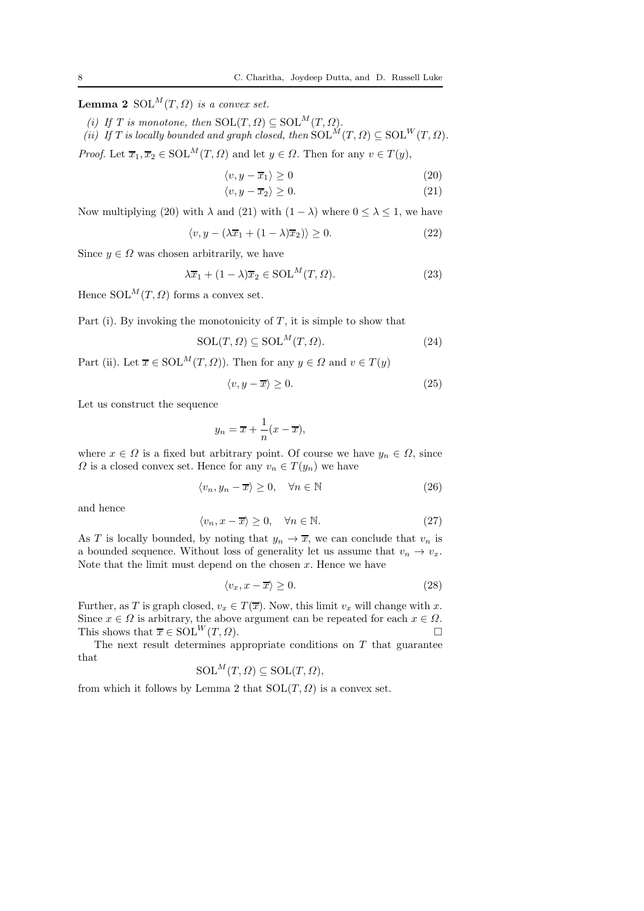**Lemma 2** SOL<sup>M</sup> $(T, \Omega)$  is a convex set.

(i) If T is monotone, then  $SOL(T, \Omega) \subseteq SOL^{M}(T, \Omega)$ . (ii) If T is locally bounded and graph closed, then  $SOL^M(T, \Omega) \subseteq SOL^W(T, \Omega)$ .

*Proof.* Let  $\overline{x}_1, \overline{x}_2 \in \text{SOL}^M(T, \Omega)$  and let  $y \in \Omega$ . Then for any  $v \in T(y)$ ,

$$
\langle v, y - \overline{x}_1 \rangle \ge 0 \tag{20}
$$

$$
\langle v, y - \overline{x}_2 \rangle \ge 0. \tag{21}
$$

Now multiplying (20) with  $\lambda$  and (21) with  $(1 - \lambda)$  where  $0 \le \lambda \le 1$ , we have

$$
\langle v, y - (\lambda \overline{x}_1 + (1 - \lambda)\overline{x}_2) \rangle \ge 0. \tag{22}
$$

Since  $y \in \Omega$  was chosen arbitrarily, we have

$$
\lambda \overline{x}_1 + (1 - \lambda)\overline{x}_2 \in \text{SOL}^M(T, \Omega). \tag{23}
$$

Hence  $SOL^{M}(T, \Omega)$  forms a convex set.

Part (i). By invoking the monotonicity of  $T$ , it is simple to show that

$$
SOL(T, \Omega) \subseteq SOL^{M}(T, \Omega).
$$
\n(24)

Part (ii). Let  $\overline{x} \in \text{SOL}^M(T, \Omega)$ ). Then for any  $y \in \Omega$  and  $v \in T(y)$ 

$$
\langle v, y - \overline{x} \rangle \ge 0. \tag{25}
$$

Let us construct the sequence

$$
y_n = \overline{x} + \frac{1}{n}(x - \overline{x}),
$$

where  $x \in \Omega$  is a fixed but arbitrary point. Of course we have  $y_n \in \Omega$ , since  $\Omega$  is a closed convex set. Hence for any  $v_n \in T(y_n)$  we have

$$
\langle v_n, y_n - \overline{x} \rangle \ge 0, \quad \forall n \in \mathbb{N} \tag{26}
$$

and hence

$$
\langle v_n, x - \overline{x} \rangle \ge 0, \quad \forall n \in \mathbb{N}.
$$
 (27)

As T is locally bounded, by noting that  $y_n \to \overline{x}$ , we can conclude that  $v_n$  is a bounded sequence. Without loss of generality let us assume that  $v_n \to v_x$ . Note that the limit must depend on the chosen  $x$ . Hence we have

$$
\langle v_x, x - \overline{x} \rangle \ge 0. \tag{28}
$$

Further, as T is graph closed,  $v_x \in T(\overline{x})$ . Now, this limit  $v_x$  will change with x. Since  $x \in \Omega$  is arbitrary, the above argument can be repeated for each  $x \in \Omega$ .<br>This shows that  $\overline{x} \in \text{SOL}^W(T, \Omega)$ . This shows that  $\overline{x} \in SOL^{W}(T, \Omega)$ .

The next result determines appropriate conditions on  $T$  that guarantee that

$$
\mathrm{SOL}^M(T, \Omega) \subseteq \mathrm{SOL}(T, \Omega),
$$

from which it follows by Lemma 2 that  $SOL(T, \Omega)$  is a convex set.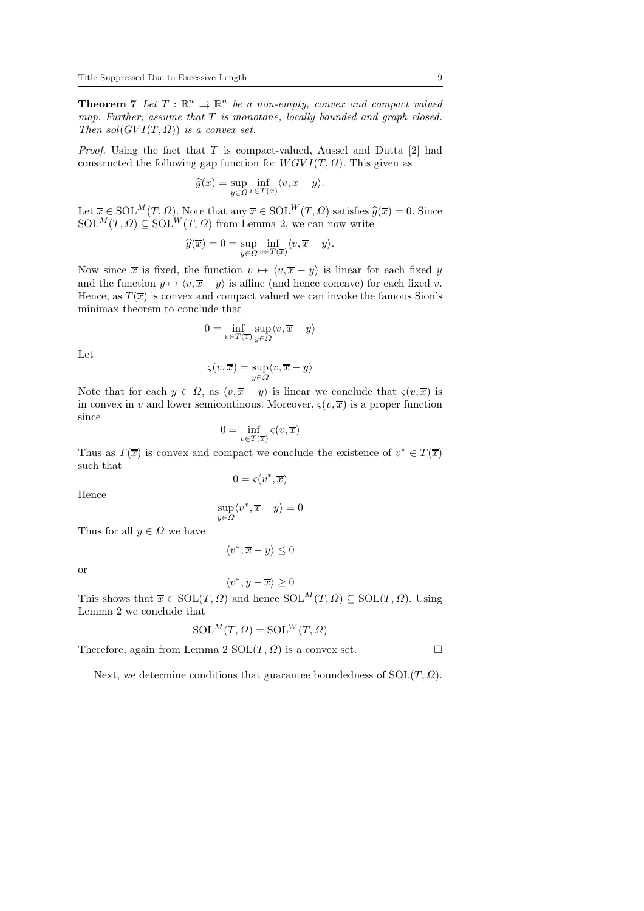**Theorem 7** Let  $T : \mathbb{R}^n \Rightarrow \mathbb{R}^n$  be a non-empty, convex and compact valued map. Further, assume that  $T$  is monotone, locally bounded and graph closed. Then  $sol(GVI(T, \Omega))$  is a convex set.

*Proof.* Using the fact that  $T$  is compact-valued, Aussel and Dutta [2] had constructed the following gap function for  $WGVI(T,\Omega)$ . This given as

$$
\widehat{g}(x) = \sup_{y \in \Omega} \inf_{v \in T(x)} \langle v, x - y \rangle.
$$

Let  $\overline{x} \in \text{SOL}^M(T, \Omega)$ . Note that any  $\overline{x} \in \text{SOL}^W(T, \Omega)$  satisfies  $\widehat{g}(\overline{x}) = 0$ . Since  $SOL^{M}(T, \Omega) \subseteq SOL^{W}(T, \Omega)$  from Lemma 2, we can now write

$$
\widehat{g}(\overline{x}) = 0 = \sup_{y \in \Omega} \inf_{v \in T(\overline{x})} \langle v, \overline{x} - y \rangle.
$$

Now since  $\bar{x}$  is fixed, the function  $v \mapsto \langle v, \bar{x} - y \rangle$  is linear for each fixed y and the function  $y \mapsto \langle v, \overline{x} - y \rangle$  is affine (and hence concave) for each fixed v. Hence, as  $T(\bar{x})$  is convex and compact valued we can invoke the famous Sion's minimax theorem to conclude that

$$
0 = \inf_{v \in T(\overline{x})} \sup_{y \in \Omega} \langle v, \overline{x} - y \rangle
$$

Let

$$
\varsigma(v,\overline{x}) = \sup_{y \in \Omega} \langle v, \overline{x} - y \rangle
$$

Note that for each  $y \in \Omega$ , as  $\langle v, \overline{x} - y \rangle$  is linear we conclude that  $\zeta(v, \overline{x})$  is in convex in v and lower semicontinous. Moreover,  $\varsigma(v, \overline{x})$  is a proper function since

$$
0 = \inf_{v \in T(\overline{x})} \varsigma(v, \overline{x})
$$

Thus as  $T(\overline{x})$  is convex and compact we conclude the existence of  $v^* \in T(\overline{x})$ such that

$$
0=\varsigma(v^*,\overline{x})
$$

Hence

$$
\sup_{y\in\varOmega}\langle v^*,\overline{x}-y\rangle=0
$$

Thus for all  $y \in \Omega$  we have

$$
\langle v^*, \overline{x} - y \rangle \leq 0
$$

or

$$
\langle v^*,y-\overline{x}\rangle\geq 0
$$

This shows that  $\overline{x} \in SOL(T, \Omega)$  and hence  $SOL^M(T, \Omega) \subseteq SOL(T, \Omega)$ . Using Lemma 2 we conclude that

$$
SOL^{M}(T,\Omega) = SOL^{W}(T,\Omega)
$$

Therefore, again from Lemma 2  $SOL(T, \Omega)$  is a convex set.

Next, we determine conditions that guarantee boundedness of  $SOL(T, \Omega)$ .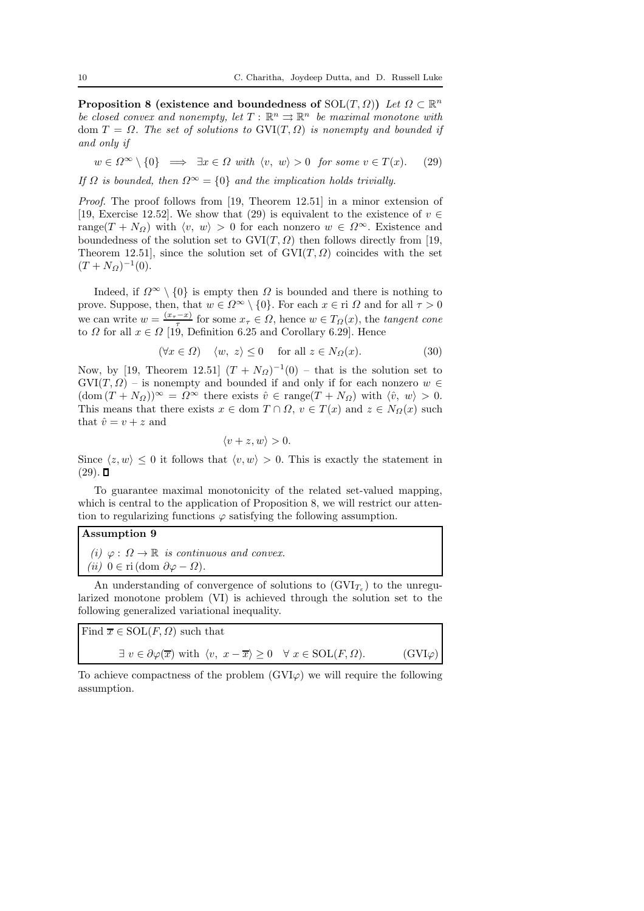**Proposition 8** (existence and boundedness of  $SOL(T, \Omega)$ ) Let  $\Omega \subset \mathbb{R}^n$ be closed convex and nonempty, let  $T: \mathbb{R}^n \rightrightarrows \mathbb{R}^n$  be maximal monotone with dom  $T = \Omega$ . The set of solutions to  $\text{GVI}(T, \Omega)$  is nonempty and bounded if and only if

$$
w \in \Omega^{\infty} \setminus \{0\} \implies \exists x \in \Omega \text{ with } \langle v, w \rangle > 0 \text{ for some } v \in T(x). \tag{29}
$$

If  $\Omega$  is bounded, then  $\Omega^{\infty} = \{0\}$  and the implication holds trivially.

Proof. The proof follows from [19, Theorem 12.51] in a minor extension of [19, Exercise 12.52]. We show that (29) is equivalent to the existence of  $v \in$ range(T + N<sub>Ω</sub>) with  $\langle v, w \rangle > 0$  for each nonzero  $w \in \Omega^{\infty}$ . Existence and boundedness of the solution set to  $GVI(T, \Omega)$  then follows directly from [19, Theorem 12.51], since the solution set of  $GVI(T, \Omega)$  coincides with the set  $(T + N_{\Omega})^{-1}(0).$ 

Indeed, if  $\Omega^{\infty} \setminus \{0\}$  is empty then  $\Omega$  is bounded and there is nothing to prove. Suppose, then, that  $w \in \Omega^{\infty} \setminus \{0\}$ . For each  $x \in \Omega$  and for all  $\tau > 0$ we can write  $w = \frac{(x_\tau - x)}{\tau}$  for some  $x_\tau \in \Omega$ , hence  $w \in T_\Omega(x)$ , the tangent cone to  $\Omega$  for all  $x \in \Omega$  [19, Definition 6.25 and Corollary 6.29]. Hence

$$
(\forall x \in \Omega) \quad \langle w, \ z \rangle \le 0 \quad \text{for all } z \in N_{\Omega}(x). \tag{30}
$$

Now, by [19, Theorem 12.51]  $(T + N<sub>\Omega</sub>)^{-1}(0)$  – that is the solution set to  $GVI(T, \Omega)$  – is nonempty and bounded if and only if for each nonzero  $w \in$  $(\text{dom}(T + N_{\Omega}))^{\infty} = \Omega^{\infty}$  there exists  $\hat{v} \in \text{range}(T + N_{\Omega})$  with  $\langle \hat{v}, w \rangle > 0$ . This means that there exists  $x \in \text{dom } T \cap \Omega$ ,  $v \in T(x)$  and  $z \in N_{\Omega}(x)$  such that  $\hat{v} = v + z$  and

$$
\langle v+z,w\rangle>0.
$$

Since  $\langle z, w \rangle \leq 0$  it follows that  $\langle v, w \rangle > 0$ . This is exactly the statement in  $(29)$ .  $\Box$ 

To guarantee maximal monotonicity of the related set-valued mapping, which is central to the application of Proposition 8, we will restrict our attention to regularizing functions  $\varphi$  satisfying the following assumption.

### Assumption 9

(i)  $\varphi : \Omega \to \mathbb{R}$  is continuous and convex. (ii)  $0 \in \text{ri}(\text{dom } \partial \varphi - \Omega)$ .

An understanding of convergence of solutions to  $(GVI_{T_{\varepsilon}})$  to the unregularized monotone problem (VI) is achieved through the solution set to the following generalized variational inequality.

| Find $\overline{x} \in SOL(F, \Omega)$ such that                                                                                             |                |
|----------------------------------------------------------------------------------------------------------------------------------------------|----------------|
| $\exists v \in \partial \varphi(\overline{x})$ with $\langle v, x - \overline{x} \rangle \geq 0 \quad \forall x \in \text{SOL}(F, \Omega)$ . | $(GVI\varphi)$ |

To achieve compactness of the problem  $(GVI\varphi)$  we will require the following assumption.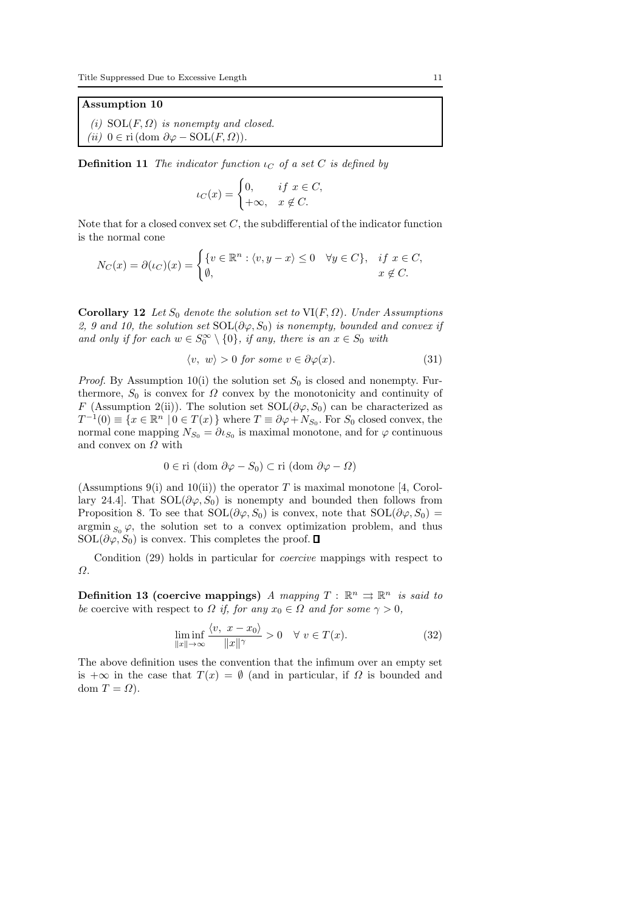### Assumption 10

(i)  $SOL(F, \Omega)$  is nonempty and closed. (ii)  $0 \in \text{ri}(\text{dom } \partial \varphi - \text{SOL}(F, \Omega)).$ 

**Definition 11** The indicator function  $\iota_C$  of a set C is defined by

$$
\iota_C(x) = \begin{cases} 0, & if \ x \in C, \\ +\infty, & x \notin C. \end{cases}
$$

Note that for a closed convex set  $C$ , the subdifferential of the indicator function is the normal cone

$$
N_C(x) = \partial(\iota_C)(x) = \begin{cases} \{v \in \mathbb{R}^n : \langle v, y - x \rangle \le 0 & \forall y \in C\}, & \text{if } x \in C, \\ \emptyset, & x \notin C. \end{cases}
$$

Corollary 12 Let  $S_0$  denote the solution set to VI(F,  $\Omega$ ). Under Assumptions 2, 9 and 10, the solution set  $\text{SOL}(\partial \varphi, S_0)$  is nonempty, bounded and convex if and only if for each  $w \in S_0^{\infty} \setminus \{0\}$ , if any, there is an  $x \in S_0$  with

$$
\langle v, w \rangle > 0 \text{ for some } v \in \partial \varphi(x). \tag{31}
$$

*Proof.* By Assumption 10(i) the solution set  $S_0$  is closed and nonempty. Furthermore,  $S_0$  is convex for  $\Omega$  convex by the monotonicity and continuity of F (Assumption 2(ii)). The solution set  $SOL(\partial \varphi, S_0)$  can be characterized as  $T^{-1}(0) \equiv \{x \in \mathbb{R}^n \mid 0 \in T(x)\}\$  where  $T \equiv \partial \varphi + N_{S_0}$ . For  $S_0$  closed convex, the normal cone mapping  $N_{S_0} = \partial \iota_{S_0}$  is maximal monotone, and for  $\varphi$  continuous and convex on  $\Omega$  with

$$
0 \in \text{ri (dom } \partial \varphi - S_0) \subset \text{ri (dom } \partial \varphi - \Omega)
$$

(Assumptions 9(i) and 10(ii)) the operator T is maximal monotone [4, Corollary 24.4. That  $\text{SOL}(\partial \varphi, S_0)$  is nonempty and bounded then follows from Proposition 8. To see that  $\text{SOL}(\partial \varphi, S_0)$  is convex, note that  $\text{SOL}(\partial \varphi, S_0)$  =  $\operatorname{argmin}_{S_0} \varphi$ , the solution set to a convex optimization problem, and thus  $SOL(\partial \varphi, S_0)$  is convex. This completes the proof.  $\Box$ 

Condition (29) holds in particular for coercive mappings with respect to Ω.

Definition 13 (coercive mappings) A mapping  $T : \mathbb{R}^n \Rightarrow \mathbb{R}^n$  is said to be coercive with respect to  $\Omega$  if, for any  $x_0 \in \Omega$  and for some  $\gamma > 0$ ,

$$
\liminf_{\|x\| \to \infty} \frac{\langle v, \ x - x_0 \rangle}{\|x\|^\gamma} > 0 \quad \forall \ v \in T(x). \tag{32}
$$

The above definition uses the convention that the infimum over an empty set is  $+\infty$  in the case that  $T(x) = \emptyset$  (and in particular, if  $\Omega$  is bounded and dom  $T = \Omega$ ).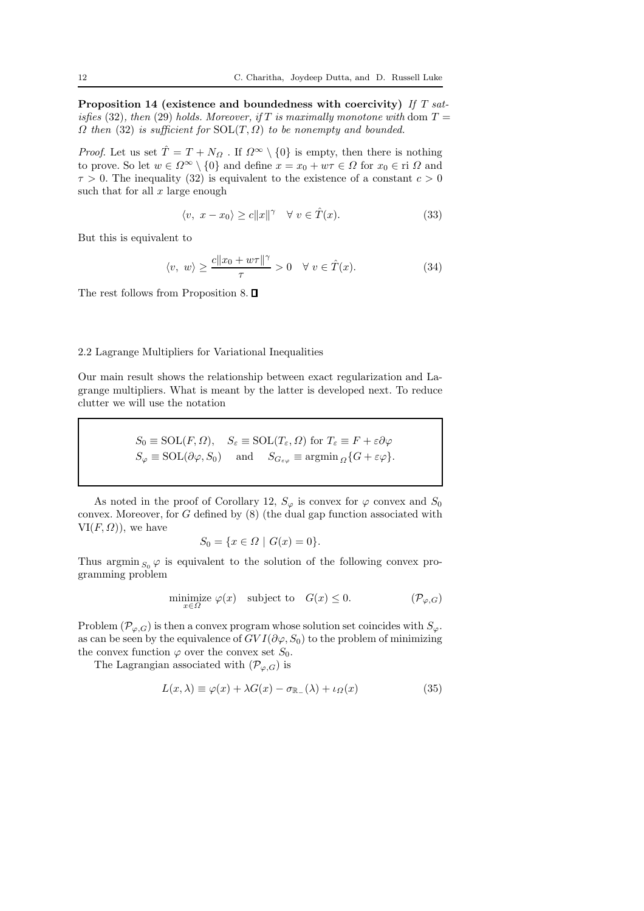Proposition 14 (existence and boundedness with coercivity) If T satisfies (32), then (29) holds. Moreover, if T is maximally monotone with dom  $T =$  $\Omega$  then (32) is sufficient for  $SOL(T, \Omega)$  to be nonempty and bounded.

*Proof.* Let us set  $\hat{T} = T + N_{\Omega}$ . If  $\Omega^{\infty} \setminus \{0\}$  is empty, then there is nothing to prove. So let  $w \in \Omega^{\infty} \setminus \{0\}$  and define  $x = x_0 + w\tau \in \Omega$  for  $x_0 \in \Omega$  and  $\tau > 0$ . The inequality (32) is equivalent to the existence of a constant  $c > 0$ such that for all  $x$  large enough

$$
\langle v, \ x - x_0 \rangle \ge c \|x\|^\gamma \quad \forall \ v \in \hat{T}(x). \tag{33}
$$

But this is equivalent to

$$
\langle v, w \rangle \ge \frac{c \|x_0 + w\tau\|^\gamma}{\tau} > 0 \quad \forall \ v \in \hat{T}(x). \tag{34}
$$

The rest follows from Proposition 8.  $\Box$ 

### 2.2 Lagrange Multipliers for Variational Inequalities

Our main result shows the relationship between exact regularization and Lagrange multipliers. What is meant by the latter is developed next. To reduce clutter we will use the notation

$$
S_0 \equiv \text{SOL}(F, \Omega), \quad S_{\varepsilon} \equiv \text{SOL}(T_{\varepsilon}, \Omega) \text{ for } T_{\varepsilon} \equiv F + \varepsilon \partial \varphi
$$
  

$$
S_{\varphi} \equiv \text{SOL}(\partial \varphi, S_0) \quad \text{and} \quad S_{G_{\varepsilon \varphi}} \equiv \text{argmin}_{\Omega} \{ G + \varepsilon \varphi \}.
$$

As noted in the proof of Corollary 12,  $S_{\varphi}$  is convex for  $\varphi$  convex and  $S_0$ convex. Moreover, for G defined by (8) (the dual gap function associated with  $VI(F, \Omega)$ , we have

$$
S_0 = \{ x \in \Omega \mid G(x) = 0 \}.
$$

Thus argmin  $_{S_0} \varphi$  is equivalent to the solution of the following convex programming problem

$$
\underset{x \in \Omega}{\text{minimize}} \varphi(x) \quad \text{subject to} \quad G(x) \le 0. \tag{P_{\varphi,G}}
$$

Problem  $(\mathcal{P}_{\varphi,G})$  is then a convex program whose solution set coincides with  $S_{\varphi}$ . as can be seen by the equivalence of  $GVI(\partial \varphi, S_0)$  to the problem of minimizing the convex function  $\varphi$  over the convex set  $S_0$ .

The Lagrangian associated with  $(\mathcal{P}_{\varphi,G})$  is

$$
L(x,\lambda) \equiv \varphi(x) + \lambda G(x) - \sigma_{\mathbb{R}_-}(\lambda) + \iota_{\Omega}(x)
$$
\n(35)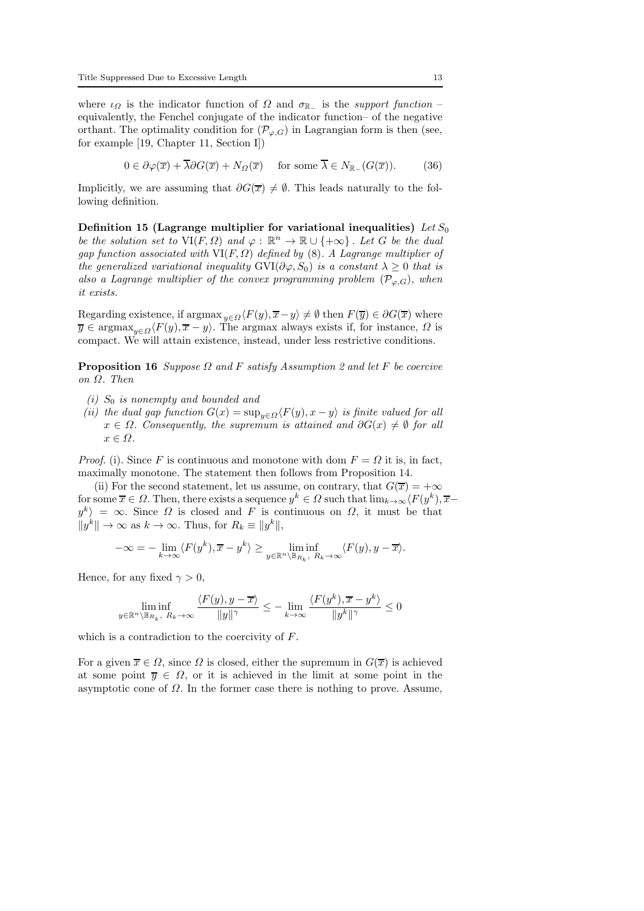where  $\iota_{\Omega}$  is the indicator function of  $\Omega$  and  $\sigma_{\mathbb{R}_-}$  is the support function – equivalently, the Fenchel conjugate of the indicator function– of the negative orthant. The optimality condition for  $(\mathcal{P}_{\varphi,G})$  in Lagrangian form is then (see, for example [19, Chapter 11, Section I])

$$
0 \in \partial \varphi(\overline{x}) + \overline{\lambda} \partial G(\overline{x}) + N_{\Omega}(\overline{x}) \quad \text{ for some } \overline{\lambda} \in N_{\mathbb{R}_-}(G(\overline{x})). \tag{36}
$$

Implicitly, we are assuming that  $\partial G(\overline{x}) \neq \emptyset$ . This leads naturally to the following definition.

Definition 15 (Lagrange multiplier for variational inequalities) Let  $S_0$ be the solution set to  $\text{VI}(F,\Omega)$  and  $\varphi : \mathbb{R}^n \to \mathbb{R} \cup \{+\infty\}$ . Let G be the dual gap function associated with  $VI(F, \Omega)$  defined by (8). A Lagrange multiplier of the generalized variational inequality  $\text{GVI}(\partial \varphi, S_0)$  is a constant  $\lambda \geq 0$  that is also a Lagrange multiplier of the convex programming problem  $(\mathcal{P}_{\varphi,G})$ , when it exists.

Regarding existence, if argmax  $y \in \Omega \langle F(y), \overline{x}-y \rangle \neq \emptyset$  then  $F(\overline{y}) \in \partial G(\overline{x})$  where  $\overline{y} \in \text{argmax}_{y \in \Omega} \langle F(y), \overline{x} - y \rangle$ . The argmax always exists if, for instance,  $\Omega$  is compact. We will attain existence, instead, under less restrictive conditions.

**Proposition 16** Suppose  $\Omega$  and F satisfy Assumption 2 and let F be coercive on Ω. Then

- (i)  $S_0$  is nonempty and bounded and
- (ii) the dual gap function  $G(x) = \sup_{y \in \Omega} \langle F(y), x y \rangle$  is finite valued for all  $x \in \Omega$ . Consequently, the supremum is attained and  $\partial G(x) \neq \emptyset$  for all  $x \in \Omega$ .

*Proof.* (i). Since F is continuous and monotone with dom  $F = \Omega$  it is, in fact, maximally monotone. The statement then follows from Proposition 14.

(ii) For the second statement, let us assume, on contrary, that  $G(\overline{x}) = +\infty$ for some  $\overline{x} \in \Omega$ . Then, there exists a sequence  $y^k \in \Omega$  such that  $\lim_{k \to \infty} \langle F(y^k), \overline{x}$  $y^k$  = ∞. Since  $\Omega$  is closed and F is continuous on  $\Omega$ , it must be that  $||y^k|| \to \infty$  as  $k \to \infty$ . Thus, for  $R_k \equiv ||y^k||$ ,

$$
-\infty = -\lim_{k \to \infty} \langle F(y^k), \overline{x} - y^k \rangle \ge \liminf_{y \in \mathbb{R}^n \setminus \mathbb{B}_{R_k}, R_k \to \infty} \langle F(y), y - \overline{x} \rangle.
$$

Hence, for any fixed  $\gamma > 0$ ,

$$
\liminf_{y\in\mathbb{R}^n\backslash\mathbb{B}_{R_k},\ R_k\to\infty}\frac{\langle F(y),y-\overline{x}\rangle}{\|y\|^\gamma}\leq-\lim_{k\to\infty}\frac{\langle F(y^k),\overline{x}-y^k\rangle}{\|y^k\|^\gamma}\leq0
$$

which is a contradiction to the coercivity of F.

For a given  $\overline{x} \in \Omega$ , since  $\Omega$  is closed, either the supremum in  $G(\overline{x})$  is achieved at some point  $\overline{y} \in \Omega$ , or it is achieved in the limit at some point in the asymptotic cone of  $\Omega$ . In the former case there is nothing to prove. Assume,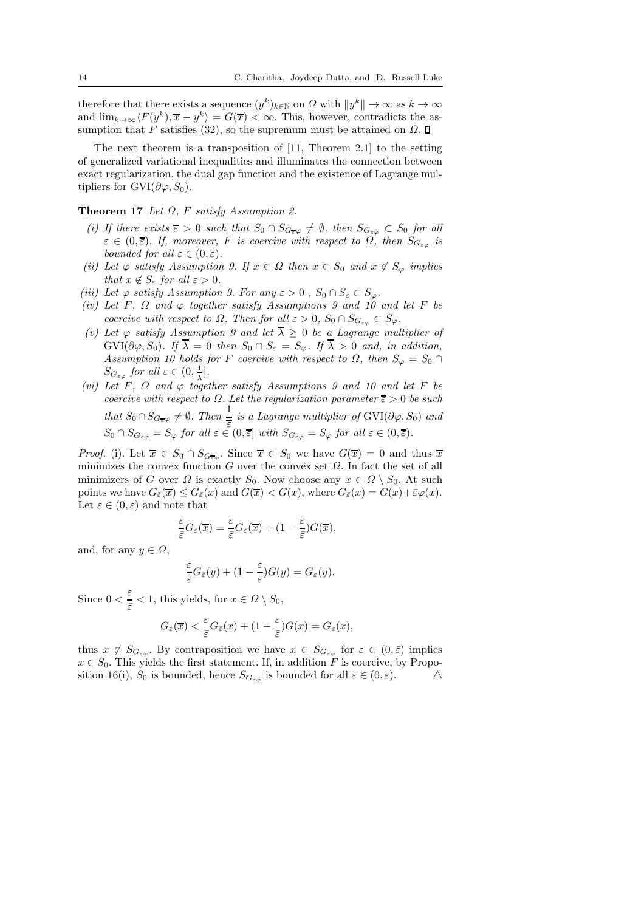therefore that there exists a sequence  $(y^k)_{k \in \mathbb{N}}$  on  $\Omega$  with  $||y^k|| \to \infty$  as  $k \to \infty$ and  $\lim_{k\to\infty}\langle F(y^k), \overline{x} - y^k \rangle = G(\overline{x}) < \infty$ . This, however, contradicts the assumption that F satisfies (32), so the supremum must be attained on  $\Omega$ .  $\square$ 

The next theorem is a transposition of [11, Theorem 2.1] to the setting of generalized variational inequalities and illuminates the connection between exact regularization, the dual gap function and the existence of Lagrange multipliers for GVI( $\partial \varphi, S_0$ ).

### Theorem 17 Let  $\Omega$ , F satisfy Assumption 2.

- (i) If there exists  $\overline{\varepsilon} > 0$  such that  $S_0 \cap S_{G_{\overline{\varepsilon}}\varphi} \neq \emptyset$ , then  $S_{G_{\varepsilon\varphi}} \subset S_0$  for all  $\varepsilon \in (0,\overline{\varepsilon})$ . If, moreover, F is coercive with respect to  $\Omega$ , then  $S_{G_{\varepsilon\varphi}}$  is bounded for all  $\varepsilon \in (0,\overline{\varepsilon})$ .
- (ii) Let  $\varphi$  satisfy Assumption 9. If  $x \in \Omega$  then  $x \in S_0$  and  $x \notin S_{\varphi}$  implies that  $x \notin S_{\varepsilon}$  for all  $\varepsilon > 0$ .
- (iii) Let  $\varphi$  satisfy Assumption 9. For any  $\varepsilon > 0$ ,  $S_0 \cap S_{\varepsilon} \subset S_{\varphi}$ .
- (iv) Let F,  $\Omega$  and  $\varphi$  together satisfy Assumptions 9 and 10 and let F be coercive with respect to  $\Omega$ . Then for all  $\varepsilon > 0$ ,  $S_0 \cap S_{G_{\varepsilon\varphi}} \subset S_{\varphi}$ .
- (v) Let  $\varphi$  satisfy Assumption 9 and let  $\overline{\lambda} \geq 0$  be a Lagrange multiplier of  $\text{GVI}(\partial \varphi, S_0)$ . If  $\overline{\lambda} = 0$  then  $S_0 \cap S_{\varepsilon} = S_{\varphi}$ . If  $\overline{\lambda} > 0$  and, in addition, Assumption 10 holds for F coercive with respect to  $\Omega$ , then  $S_{\varphi} = S_0 \cap$  $S_{G_{\varepsilon\varphi}}$  for all  $\varepsilon\in(0,\frac{1}{\lambda})$  $\frac{1}{\lambda}$ .
- (vi) Let F,  $\Omega$  and  $\varphi$  together satisfy Assumptions 9 and 10 and let F be coercive with respect to  $\Omega$ . Let the regularization parameter  $\overline{\varepsilon} > 0$  be such that  $S_0 \cap S_{G_{\overline{\epsilon}}\varphi} \neq \emptyset$ . Then  $\frac{1}{\overline{\epsilon}}$  is a Lagrange multiplier of GVI( $\partial \varphi$ ,  $S_0$ ) and  $S_0 \cap S_{G_{\varepsilon\varphi}} = S_{\varphi}$  for all  $\varepsilon \in (0, \overline{\varepsilon}]$  with  $S_{G_{\varepsilon\varphi}} = S_{\varphi}$  for all  $\varepsilon \in (0, \overline{\varepsilon})$ .

*Proof.* (i). Let  $\overline{x} \in S_0 \cap S_{G_{\overline{\epsilon}\varphi}}$ . Since  $\overline{x} \in S_0$  we have  $G(\overline{x}) = 0$  and thus  $\overline{x}$ minimizes the convex function  $G$  over the convex set  $\Omega$ . In fact the set of all minimizers of G over  $\Omega$  is exactly  $S_0$ . Now choose any  $x \in \Omega \setminus S_0$ . At such points we have  $G_{\bar{\varepsilon}}(\overline{x}) \leq G_{\bar{\varepsilon}}(x)$  and  $G(\overline{x}) < G(x)$ , where  $G_{\bar{\varepsilon}}(x) = G(x) + \bar{\varepsilon}\varphi(x)$ . Let  $\varepsilon \in (0, \bar{\varepsilon})$  and note that

$$
\frac{\varepsilon}{\bar{\varepsilon}}G_{\bar{\varepsilon}}(\overline{x})=\frac{\varepsilon}{\bar{\varepsilon}}G_{\bar{\varepsilon}}(\overline{x})+(1-\frac{\varepsilon}{\bar{\varepsilon}})G(\overline{x}),
$$

and, for any  $y \in \Omega$ ,

$$
\frac{\varepsilon}{\overline{\varepsilon}}G_{\overline{\varepsilon}}(y) + (1 - \frac{\varepsilon}{\overline{\varepsilon}})G(y) = G_{\varepsilon}(y).
$$

Since  $0 < \frac{\varepsilon}{\varepsilon}$  $\frac{c}{\bar{\varepsilon}}$  < 1, this yields, for  $x \in \Omega \setminus S_0$ ,

$$
G_{\varepsilon}(\overline{x}) < \frac{\varepsilon}{\overline{\varepsilon}} G_{\overline{\varepsilon}}(x) + (1 - \frac{\varepsilon}{\overline{\varepsilon}})G(x) = G_{\varepsilon}(x),
$$

thus  $x \notin S_{G_{\varepsilon\varphi}}$ . By contraposition we have  $x \in S_{G_{\varepsilon\varphi}}$  for  $\varepsilon \in (0,\bar{\varepsilon})$  implies  $x \in S_0$ . This yields the first statement. If, in addition F is coercive, by Proposition 16(i). So is bounded, hence  $S_C$  is bounded for all  $\varepsilon \in (0, \bar{\varepsilon})$ . sition 16(i),  $S_0$  is bounded, hence  $S_{G_{\varepsilon\varphi}}$  is bounded for all  $\varepsilon \in (0,\bar{\varepsilon})$ .  $\triangle$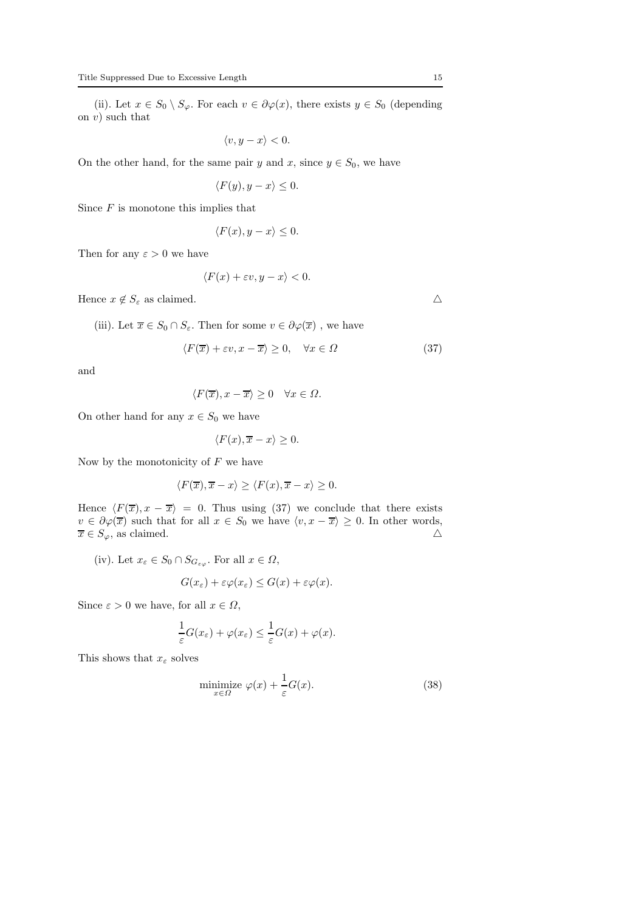(ii). Let  $x \in S_0 \setminus S_\varphi$ . For each  $v \in \partial \varphi(x)$ , there exists  $y \in S_0$  (depending on  $v$ ) such that

$$
\langle v, y - x \rangle < 0.
$$

On the other hand, for the same pair y and x, since  $y \in S_0$ , we have

$$
\langle F(y), y - x \rangle \le 0.
$$

Since  $F$  is monotone this implies that

$$
\langle F(x), y - x \rangle \le 0.
$$

Then for any  $\varepsilon > 0$  we have

$$
\langle F(x)+\varepsilon v, y-x\rangle <0.
$$

Hence  $x \notin S_{\varepsilon}$  as claimed.  $\triangle$ 

(iii). Let  $\overline{x} \in S_0 \cap S_{\varepsilon}$ . Then for some  $v \in \partial \varphi(\overline{x})$ , we have

$$
\langle F(\overline{x}) + \varepsilon v, x - \overline{x} \rangle \ge 0, \quad \forall x \in \Omega \tag{37}
$$

and

$$
\langle F(\overline{x}), x - \overline{x} \rangle \ge 0 \quad \forall x \in \Omega.
$$

On other hand for any  $x \in S_0$  we have

$$
\langle F(x), \overline{x} - x \rangle \ge 0.
$$

Now by the monotonicity of  $F$  we have

$$
\langle F(\overline{x}), \overline{x} - x \rangle \ge \langle F(x), \overline{x} - x \rangle \ge 0.
$$

Hence  $\langle F(\overline{x}), x - \overline{x} \rangle = 0$ . Thus using (37) we conclude that there exists  $v \in \partial \varphi(\overline{x})$  such that for all  $x \in S_0$  we have  $\langle v, x - \overline{x} \rangle \ge 0$ . In other words,  $\overline{x} \in S_{\varphi}$ , as claimed.  $\overline{x} \in S_{\varphi},$  as claimed.

(iv). Let  $x_{\varepsilon} \in S_0 \cap S_{G_{\varepsilon\varphi}}$ . For all  $x \in \Omega$ ,

$$
G(x_{\varepsilon}) + \varepsilon \varphi(x_{\varepsilon}) \le G(x) + \varepsilon \varphi(x).
$$

Since  $\varepsilon > 0$  we have, for all  $x \in \Omega$ ,

$$
\frac{1}{\varepsilon}G(x_{\varepsilon}) + \varphi(x_{\varepsilon}) \leq \frac{1}{\varepsilon}G(x) + \varphi(x).
$$

This shows that  $x_{\varepsilon}$  solves

$$
\underset{x \in \Omega}{\text{minimize}} \varphi(x) + \frac{1}{\varepsilon} G(x). \tag{38}
$$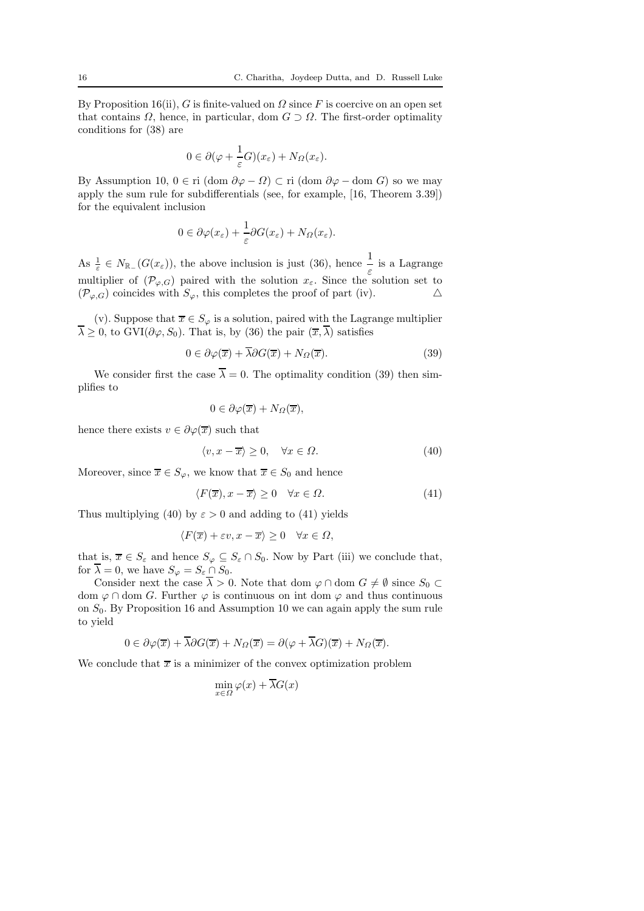By Proposition 16(ii), G is finite-valued on  $\Omega$  since F is coercive on an open set that contains  $\Omega$ , hence, in particular, dom  $G \supset \Omega$ . The first-order optimality conditions for (38) are

$$
0 \in \partial(\varphi + \frac{1}{\varepsilon}G)(x_{\varepsilon}) + N_{\Omega}(x_{\varepsilon}).
$$

By Assumption 10,  $0 \in \text{ri}$  (dom  $\partial \varphi - \Omega$ ) ⊂ ri (dom  $\partial \varphi -$ dom G) so we may apply the sum rule for subdifferentials (see, for example, [16, Theorem 3.39]) for the equivalent inclusion

$$
0 \in \partial \varphi(x_{\varepsilon}) + \frac{1}{\varepsilon} \partial G(x_{\varepsilon}) + N_{\Omega}(x_{\varepsilon}).
$$

As  $\frac{1}{\varepsilon} \in N_{\mathbb{R}_-}(G(x_{\varepsilon}))$ , the above inclusion is just (36), hence  $\frac{1}{\varepsilon}$  is a Lagrange multiplier of  $(\mathcal{P}_{\varphi,G})$  paired with the solution  $x_{\varepsilon}$ . Since the solution set to  $(\mathcal{P}_{\varphi,G})$  coincides with  $S_{\varphi}$ , this completes the proof of part (iv).  $(\mathcal{P}_{\varphi,G})$  coincides with  $S_{\varphi}$ , this completes the proof of part (iv).

(v). Suppose that  $\overline{x} \in S_{\varphi}$  is a solution, paired with the Lagrange multiplier  $\overline{\lambda} \geq 0$ , to GVI( $\partial \varphi$ ,  $S_0$ ). That is, by (36) the pair  $(\overline{x}, \overline{\lambda})$  satisfies

$$
0 \in \partial \varphi(\overline{x}) + \overline{\lambda} \partial G(\overline{x}) + N_{\Omega}(\overline{x}). \tag{39}
$$

We consider first the case  $\overline{\lambda} = 0$ . The optimality condition (39) then simplifies to

$$
0\in\partial\varphi(\overline{x})+N_{\Omega}(\overline{x}),
$$

hence there exists  $v \in \partial \varphi(\overline{x})$  such that

$$
\langle v, x - \overline{x} \rangle \ge 0, \quad \forall x \in \Omega.
$$
 (40)

Moreover, since  $\overline{x} \in S_{\varphi}$ , we know that  $\overline{x} \in S_0$  and hence

$$
\langle F(\overline{x}), x - \overline{x} \rangle \ge 0 \quad \forall x \in \Omega. \tag{41}
$$

Thus multiplying (40) by  $\varepsilon > 0$  and adding to (41) yields

$$
\langle F(\overline{x}) + \varepsilon v, x - \overline{x} \rangle \ge 0 \quad \forall x \in \Omega,
$$

that is,  $\overline{x} \in S_{\varepsilon}$  and hence  $S_{\varphi} \subseteq S_{\varepsilon} \cap S_0$ . Now by Part (iii) we conclude that, for  $\overline{\lambda} = 0$ , we have  $S_{\varphi} = S_{\varepsilon} \cap S_0$ .

Consider next the case  $\overline{\lambda} > 0$ . Note that dom  $\varphi \cap$  dom  $G \neq \emptyset$  since  $S_0 \subset$ dom  $\varphi \cap$  dom G. Further  $\varphi$  is continuous on int dom  $\varphi$  and thus continuous on  $S_0$ . By Proposition 16 and Assumption 10 we can again apply the sum rule to yield

$$
0 \in \partial \varphi(\overline{x}) + \overline{\lambda} \partial G(\overline{x}) + N_{\Omega}(\overline{x}) = \partial (\varphi + \overline{\lambda} G)(\overline{x}) + N_{\Omega}(\overline{x}).
$$

We conclude that  $\bar{x}$  is a minimizer of the convex optimization problem

$$
\min_{x \in \Omega} \varphi(x) + \overline{\lambda}G(x)
$$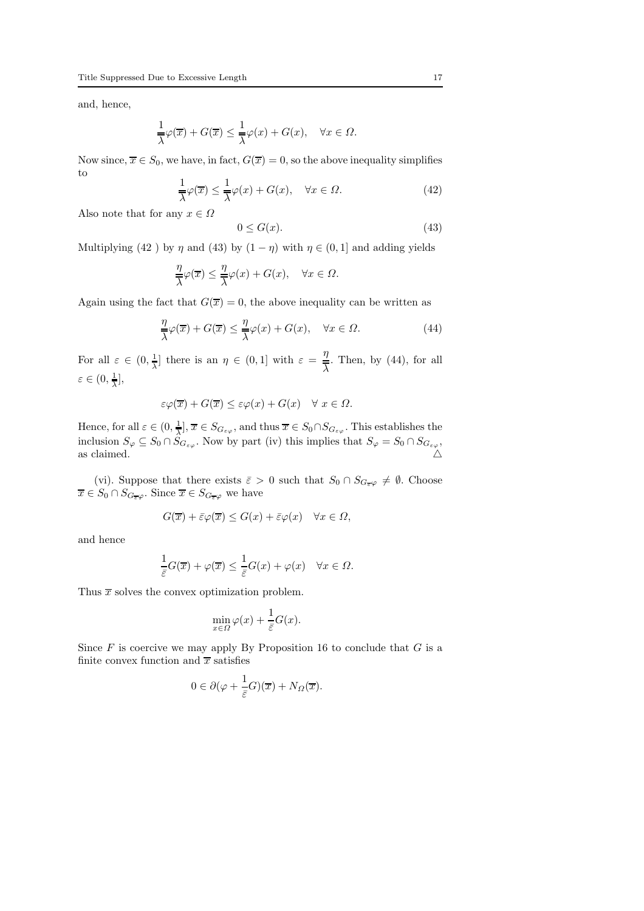and, hence,

$$
\frac{1}{\overline{\lambda}}\varphi(\overline{x})+G(\overline{x})\leq \frac{1}{\overline{\lambda}}\varphi(x)+G(x),\quad \forall x\in\varOmega.
$$

Now since,  $\overline{x} \in S_0$ , we have, in fact,  $G(\overline{x}) = 0$ , so the above inequality simplifies to

$$
\frac{1}{\lambda}\varphi(\overline{x}) \le \frac{1}{\lambda}\varphi(x) + G(x), \quad \forall x \in \Omega.
$$
 (42)

Also note that for any  $x \in \Omega$ 

$$
0 \le G(x). \tag{43}
$$

Multiplying (42 ) by  $\eta$  and (43) by  $(1 - \eta)$  with  $\eta \in (0, 1]$  and adding yields

$$
\frac{\eta}{\lambda}\varphi(\overline{x}) \le \frac{\eta}{\lambda}\varphi(x) + G(x), \quad \forall x \in \Omega.
$$

Again using the fact that  $G(\overline{x}) = 0$ , the above inequality can be written as

$$
\frac{\eta}{\lambda}\varphi(\overline{x}) + G(\overline{x}) \le \frac{\eta}{\lambda}\varphi(x) + G(x), \quad \forall x \in \Omega.
$$
 (44)

For all  $\varepsilon \in (0, \frac{1}{\lambda})$  $\frac{1}{\lambda}$  there is an  $\eta \in (0,1]$  with  $\varepsilon = \frac{\eta}{\lambda}$  $\frac{4}{\lambda}$ . Then, by (44), for all  $\varepsilon \in (0, \frac{1}{\overline{\lambda}}$  $\frac{1}{\lambda}$ ],

$$
\varepsilon \varphi(\overline{x}) + G(\overline{x}) \le \varepsilon \varphi(x) + G(x) \quad \forall \ x \in \Omega.
$$

Hence, for all  $\varepsilon \in (0, \frac{1}{\lambda})$  $\frac{1}{\lambda}$ ,  $\overline{x} \in S_{G_{\varepsilon\varphi}}$ , and thus  $\overline{x} \in S_0 \cap S_{G_{\varepsilon\varphi}}$ . This establishes the inclusion  $S_{\varphi} \subseteq S_0 \cap S_{G_{\varepsilon\varphi}}$ . Now by part (iv) this implies that  $S_{\varphi} = S_0 \cap S_{G_{\varepsilon\varphi}}$ , as claimed.  $\triangle$ 

(vi). Suppose that there exists  $\bar{\varepsilon} > 0$  such that  $S_0 \cap S_{G_{\bar{\varepsilon}}\varphi} \neq \emptyset$ . Choose  $\overline{x} \in S_0 \cap S_{G_{\overline{\epsilon}}\varphi}$ . Since  $\overline{x} \in S_{G_{\overline{\epsilon}}\varphi}$  we have

$$
G(\overline{x}) + \bar{\varepsilon}\varphi(\overline{x}) \le G(x) + \bar{\varepsilon}\varphi(x) \quad \forall x \in \Omega,
$$

and hence

$$
\frac{1}{\overline{\varepsilon}}G(\overline{x}) + \varphi(\overline{x}) \le \frac{1}{\overline{\varepsilon}}G(x) + \varphi(x) \quad \forall x \in \Omega.
$$

Thus  $\bar{x}$  solves the convex optimization problem.

$$
\min_{x \in \Omega} \varphi(x) + \frac{1}{\bar{\varepsilon}} G(x).
$$

Since  $F$  is coercive we may apply By Proposition 16 to conclude that  $G$  is a finite convex function and  $\bar{x}$  satisfies

$$
0 \in \partial(\varphi + \frac{1}{\bar{\varepsilon}}G)(\overline{x}) + N_{\Omega}(\overline{x}).
$$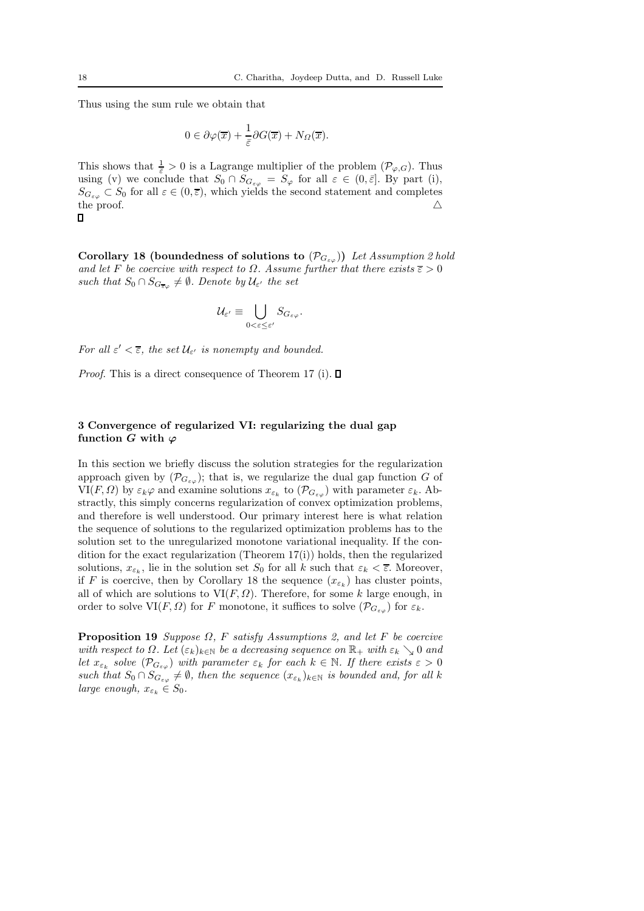Thus using the sum rule we obtain that

$$
0\in\partial\varphi(\overline{x})+\frac{1}{\overline{\varepsilon}}\partial G(\overline{x})+N_{\Omega}(\overline{x}).
$$

This shows that  $\frac{1}{\varepsilon} > 0$  is a Lagrange multiplier of the problem  $(\mathcal{P}_{\varphi,G})$ . Thus using (v) we conclude that  $S_0 \cap S_{G_{\varepsilon\varphi}} = S_\varphi$  for all  $\varepsilon \in (0, \bar{\varepsilon}]$ . By part (i),  $S_{G_{\varepsilon\varphi}} \subset S_0$  for all  $\varepsilon \in (0, \overline{\varepsilon})$ , which yields the second statement and completes the proof. the proof.  $\triangle$ 

Corollary 18 (boundedness of solutions to  $(\mathcal{P}_{G_{\varepsilon\omega}})$ ) Let Assumption 2 hold and let F be coercive with respect to  $\Omega$ . Assume further that there exists  $\overline{\epsilon} > 0$ such that  $S_0 \cap S_{G_{\overline{\epsilon}\varphi}} \neq \emptyset$ . Denote by  $\mathcal{U}_{\epsilon'}$  the set

$$
\mathcal{U}_{\varepsilon'} \equiv \bigcup_{0 < \varepsilon \leq \varepsilon'} S_{G_{\varepsilon\varphi}}.
$$

For all  $\varepsilon' < \overline{\varepsilon}$ , the set  $\mathcal{U}_{\varepsilon'}$  is nonempty and bounded.

*Proof.* This is a direct consequence of Theorem 17 (i).  $\Box$ 

### 3 Convergence of regularized VI: regularizing the dual gap function G with  $\varphi$

In this section we briefly discuss the solution strategies for the regularization approach given by  $(\mathcal{P}_{G_{\varepsilon\varphi}})$ ; that is, we regularize the dual gap function G of  $VI(F, \Omega)$  by  $\varepsilon_k \varphi$  and examine solutions  $x_{\varepsilon_k}$  to  $(\mathcal{P}_{G_{\varepsilon\varphi}})$  with parameter  $\varepsilon_k$ . Abstractly, this simply concerns regularization of convex optimization problems, and therefore is well understood. Our primary interest here is what relation the sequence of solutions to the regularized optimization problems has to the solution set to the unregularized monotone variational inequality. If the condition for the exact regularization (Theorem  $17(i)$ ) holds, then the regularized solutions,  $x_{\varepsilon_k}$ , lie in the solution set  $S_0$  for all k such that  $\varepsilon_k < \overline{\varepsilon}$ . Moreover, if F is coercive, then by Corollary 18 the sequence  $(x_{\varepsilon_k})$  has cluster points, all of which are solutions to  $VI(F, \Omega)$ . Therefore, for some k large enough, in order to solve  $VI(F, \Omega)$  for F monotone, it suffices to solve  $(\mathcal{P}_{G_{\varepsilon\varphi}})$  for  $\varepsilon_k$ .

**Proposition 19** Suppose  $\Omega$ , F satisfy Assumptions 2, and let F be coercive with respect to  $\Omega$ . Let  $(\varepsilon_k)_{k\in\mathbb{N}}$  be a decreasing sequence on  $\mathbb{R}_+$  with  $\varepsilon_k \searrow 0$  and let  $x_{\varepsilon_k}$  solve  $(\mathcal{P}_{G_{\varepsilon\varphi}})$  with parameter  $\varepsilon_k$  for each  $k \in \mathbb{N}$ . If there exists  $\varepsilon > 0$ such that  $S_0 \cap S_{G_{\varepsilon\varphi}} \neq \emptyset$ , then the sequence  $(x_{\varepsilon_k})_{k \in \mathbb{N}}$  is bounded and, for all k large enough,  $x_{\varepsilon_k} \in S_0$ .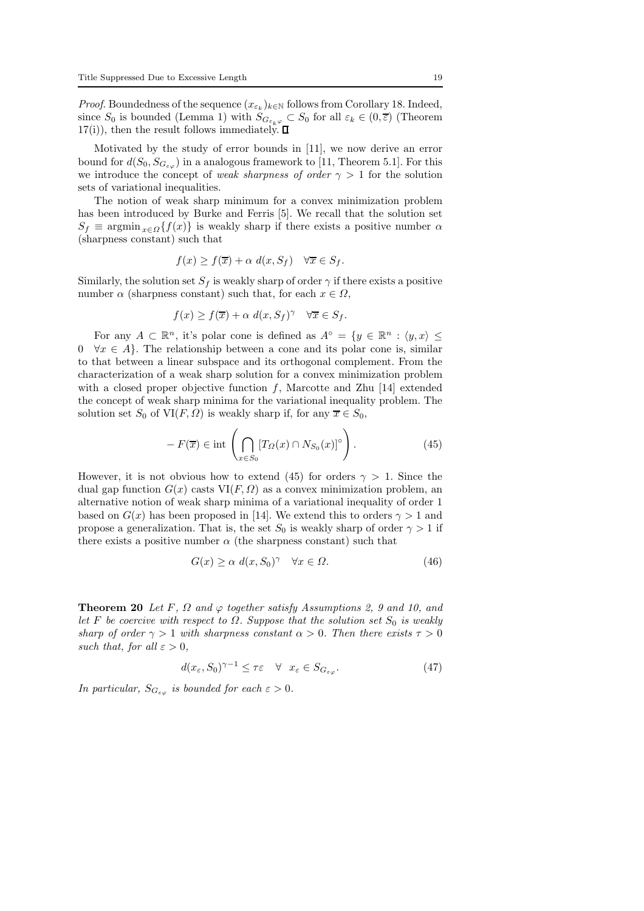*Proof.* Boundedness of the sequence  $(x_{\varepsilon_k})_{k \in \mathbb{N}}$  follows from Corollary 18. Indeed, since  $S_0$  is bounded (Lemma 1) with  $S_{G_{\varepsilon_k\varphi}} \subset S_0$  for all  $\varepsilon_k \in (0,\overline{\varepsilon})$  (Theorem  $17(i)$ , then the result follows immediately.  $\Box$ 

Motivated by the study of error bounds in [11], we now derive an error bound for  $d(S_0, S_{G_{\varepsilon,\varphi}})$  in a analogous framework to [11, Theorem 5.1]. For this we introduce the concept of weak sharpness of order  $\gamma > 1$  for the solution sets of variational inequalities.

The notion of weak sharp minimum for a convex minimization problem has been introduced by Burke and Ferris [5]. We recall that the solution set  $S_f \equiv \operatorname{argmin}_{x \in \Omega} \{f(x)\}\$ is weakly sharp if there exists a positive number  $\alpha$ (sharpness constant) such that

$$
f(x) \ge f(\overline{x}) + \alpha \ d(x, S_f) \quad \forall \overline{x} \in S_f.
$$

Similarly, the solution set  $S_f$  is weakly sharp of order  $\gamma$  if there exists a positive number  $\alpha$  (sharpness constant) such that, for each  $x \in \Omega$ ,

$$
f(x)\geq f(\overline{x})+\alpha \ d(x,S_f)^\gamma \quad \forall \overline{x}\in S_f.
$$

For any  $A \subset \mathbb{R}^n$ , it's polar cone is defined as  $A^{\circ} = \{y \in \mathbb{R}^n : \langle y, x \rangle \leq$  $0 \quad \forall x \in A$ . The relationship between a cone and its polar cone is, similar to that between a linear subspace and its orthogonal complement. From the characterization of a weak sharp solution for a convex minimization problem with a closed proper objective function f, Marcotte and Zhu [14] extended the concept of weak sharp minima for the variational inequality problem. The solution set  $S_0$  of  $\text{VI}(F, \Omega)$  is weakly sharp if, for any  $\overline{x} \in S_0$ ,

$$
-F(\overline{x}) \in \text{int}\left(\bigcap_{x \in S_0} [T_{\Omega}(x) \cap N_{S_0}(x)]^{\circ}\right). \tag{45}
$$

However, it is not obvious how to extend (45) for orders  $\gamma > 1$ . Since the dual gap function  $G(x)$  casts  $VI(F, \Omega)$  as a convex minimization problem, an alternative notion of weak sharp minima of a variational inequality of order 1 based on  $G(x)$  has been proposed in [14]. We extend this to orders  $\gamma > 1$  and propose a generalization. That is, the set  $S_0$  is weakly sharp of order  $\gamma > 1$  if there exists a positive number  $\alpha$  (the sharpness constant) such that

$$
G(x) \ge \alpha \ d(x, S_0)^\gamma \quad \forall x \in \Omega. \tag{46}
$$

**Theorem 20** Let F,  $\Omega$  and  $\varphi$  together satisfy Assumptions 2, 9 and 10, and let F be coercive with respect to  $\Omega$ . Suppose that the solution set  $S_0$  is weakly sharp of order  $\gamma > 1$  with sharpness constant  $\alpha > 0$ . Then there exists  $\tau > 0$ such that, for all  $\varepsilon > 0$ .

$$
d(x_{\varepsilon}, S_0)^{\gamma - 1} \le \tau \varepsilon \quad \forall \quad x_{\varepsilon} \in S_{G_{\varepsilon \varphi}}.\tag{47}
$$

In particular,  $S_{G_{\varepsilon\varphi}}$  is bounded for each  $\varepsilon > 0$ .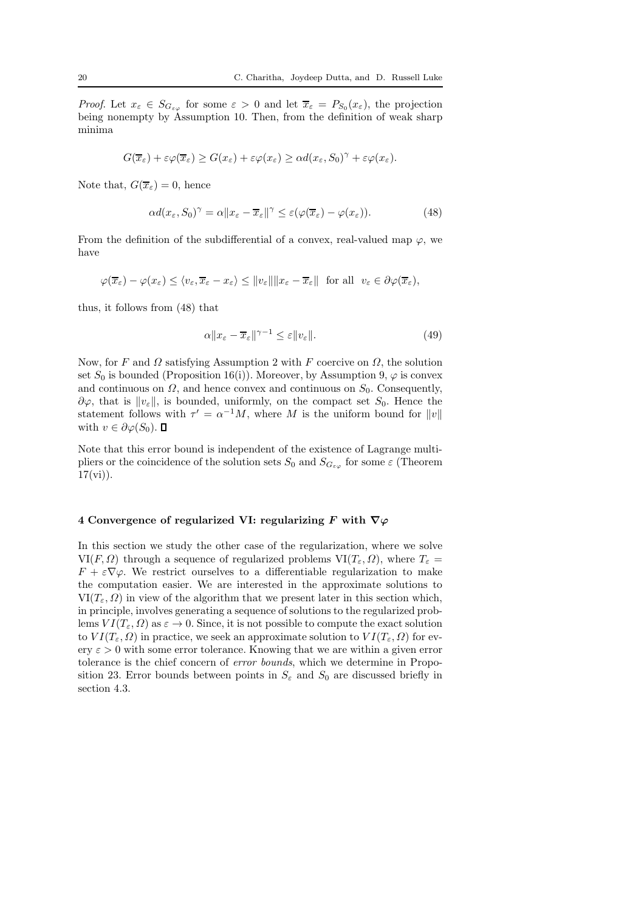*Proof.* Let  $x_{\varepsilon} \in S_{G_{\varepsilon\varphi}}$  for some  $\varepsilon > 0$  and let  $\overline{x}_{\varepsilon} = P_{S_0}(x_{\varepsilon})$ , the projection being nonempty by Assumption 10. Then, from the definition of weak sharp minima

$$
G(\overline{x}_{\varepsilon}) + \varepsilon \varphi(\overline{x}_{\varepsilon}) \geq G(x_{\varepsilon}) + \varepsilon \varphi(x_{\varepsilon}) \geq \alpha d(x_{\varepsilon}, S_0)^{\gamma} + \varepsilon \varphi(x_{\varepsilon}).
$$

Note that,  $G(\overline{x}_{\varepsilon}) = 0$ , hence

$$
\alpha d(x_{\varepsilon}, S_0)^{\gamma} = \alpha \|x_{\varepsilon} - \overline{x}_{\varepsilon}\|^{\gamma} \leq \varepsilon (\varphi(\overline{x}_{\varepsilon}) - \varphi(x_{\varepsilon})). \tag{48}
$$

From the definition of the subdifferential of a convex, real-valued map  $\varphi$ , we have

$$
\varphi(\overline{x}_{\varepsilon}) - \varphi(x_{\varepsilon}) \leq \langle v_{\varepsilon}, \overline{x}_{\varepsilon} - x_{\varepsilon} \rangle \leq ||v_{\varepsilon}|| ||x_{\varepsilon} - \overline{x}_{\varepsilon}|| \text{ for all } v_{\varepsilon} \in \partial \varphi(\overline{x}_{\varepsilon}),
$$

thus, it follows from (48) that

$$
\alpha \|x_{\varepsilon} - \overline{x}_{\varepsilon}\|^{\gamma - 1} \le \varepsilon \|v_{\varepsilon}\|.\tag{49}
$$

Now, for F and  $\Omega$  satisfying Assumption 2 with F coercive on  $\Omega$ , the solution set  $S_0$  is bounded (Proposition 16(i)). Moreover, by Assumption 9,  $\varphi$  is convex and continuous on  $\Omega$ , and hence convex and continuous on  $S_0$ . Consequently,  $\partial \varphi$ , that is  $||v_{\varepsilon}||$ , is bounded, uniformly, on the compact set  $S_0$ . Hence the statement follows with  $\tau' = \alpha^{-1}M$ , where M is the uniform bound for  $||v||$ with  $v \in \partial \varphi(S_0)$ .  $\blacksquare$ 

Note that this error bound is independent of the existence of Lagrange multipliers or the coincidence of the solution sets  $S_0$  and  $S_{G_{\varepsilon\varphi}}$  for some  $\varepsilon$  (Theorem  $17(vi)$ ).

### 4 Convergence of regularized VI: regularizing F with  $\nabla\varphi$

In this section we study the other case of the regularization, where we solve VI(F,  $\Omega$ ) through a sequence of regularized problems VI( $T_{\varepsilon}$ ,  $\Omega$ ), where  $T_{\varepsilon}$  =  $F + \varepsilon \nabla \varphi$ . We restrict ourselves to a differentiable regularization to make the computation easier. We are interested in the approximate solutions to  $VI(T_{\epsilon}, \Omega)$  in view of the algorithm that we present later in this section which, in principle, involves generating a sequence of solutions to the regularized problems  $VI(T_{\varepsilon}, \Omega)$  as  $\varepsilon \to 0$ . Since, it is not possible to compute the exact solution to  $VI(T_{\varepsilon}, \Omega)$  in practice, we seek an approximate solution to  $VI(T_{\varepsilon}, \Omega)$  for every  $\varepsilon > 0$  with some error tolerance. Knowing that we are within a given error tolerance is the chief concern of error bounds, which we determine in Proposition 23. Error bounds between points in  $S_{\varepsilon}$  and  $S_0$  are discussed briefly in section 4.3.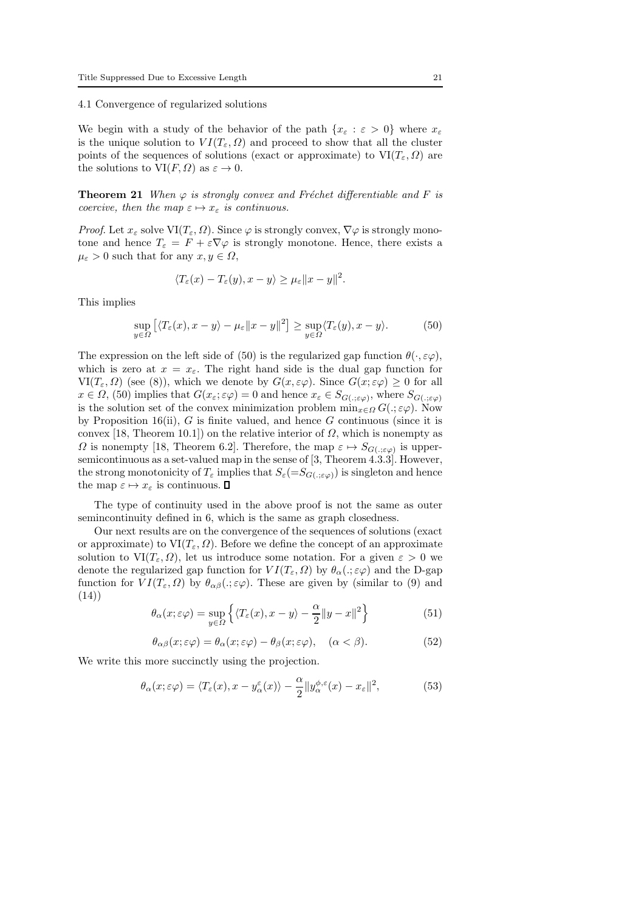4.1 Convergence of regularized solutions

We begin with a study of the behavior of the path  $\{x_{\varepsilon} : \varepsilon > 0\}$  where  $x_{\varepsilon}$ is the unique solution to  $VI(T_{\varepsilon}, \Omega)$  and proceed to show that all the cluster points of the sequences of solutions (exact or approximate) to  $VI(T_{\varepsilon}, \Omega)$  are the solutions to  $VI(F, \Omega)$  as  $\varepsilon \to 0$ .

**Theorem 21** When  $\varphi$  is strongly convex and Fréchet differentiable and F is coercive, then the map  $\varepsilon \mapsto x_{\varepsilon}$  is continuous.

*Proof.* Let  $x_{\varepsilon}$  solve  $\text{VI}(T_{\varepsilon}, \Omega)$ . Since  $\varphi$  is strongly convex,  $\nabla \varphi$  is strongly monotone and hence  $T_{\varepsilon} = F + \varepsilon \nabla \varphi$  is strongly monotone. Hence, there exists a  $\mu_{\varepsilon} > 0$  such that for any  $x, y \in \Omega$ ,

$$
\langle T_{\varepsilon}(x) - T_{\varepsilon}(y), x - y \rangle \ge \mu_{\varepsilon} ||x - y||^2.
$$

This implies

$$
\sup_{y \in \Omega} \left[ \langle T_{\varepsilon}(x), x - y \rangle - \mu_{\varepsilon} \| x - y \|^2 \right] \geq \sup_{y \in \Omega} \langle T_{\varepsilon}(y), x - y \rangle. \tag{50}
$$

The expression on the left side of (50) is the regularized gap function  $\theta(\cdot, \varepsilon\varphi)$ , which is zero at  $x = x_{\varepsilon}$ . The right hand side is the dual gap function for  $VI(T_{\varepsilon}, \Omega)$  (see (8)), which we denote by  $G(x, \varepsilon \varphi)$ . Since  $G(x; \varepsilon \varphi) \geq 0$  for all  $x \in \Omega$ , (50) implies that  $G(x_\varepsilon; \varepsilon \varphi) = 0$  and hence  $x_\varepsilon \in S_{G(.; \varepsilon \varphi)}$ , where  $S_{G(.; \varepsilon \varphi)}$ is the solution set of the convex minimization problem  $\min_{x \in \Omega} G(.; \varepsilon \varphi)$ . Now by Proposition 16(ii),  $G$  is finite valued, and hence  $G$  continuous (since it is convex [18, Theorem 10.1]) on the relative interior of  $\Omega$ , which is nonempty as  $\Omega$  is nonempty [18, Theorem 6.2]. Therefore, the map  $\varepsilon \mapsto S_{G(\cdot,\varepsilon\varphi)}$  is uppersemicontinuous as a set-valued map in the sense of [3, Theorem 4.3.3]. However, the strong monotonicity of  $T_{\varepsilon}$  implies that  $S_{\varepsilon} (= S_{G(.; \varepsilon \varphi)})$  is singleton and hence the map  $\varepsilon \mapsto x_{\varepsilon}$  is continuous.  $\square$ 

The type of continuity used in the above proof is not the same as outer semincontinuity defined in 6, which is the same as graph closedness.

Our next results are on the convergence of the sequences of solutions (exact or approximate) to  $VI(T_{\varepsilon}, \Omega)$ . Before we define the concept of an approximate solution to  $VI(T_{\varepsilon}, \Omega)$ , let us introduce some notation. For a given  $\varepsilon > 0$  we denote the regularized gap function for  $VI(T_{\varepsilon}, \Omega)$  by  $\theta_{\alpha} (.\,;\varepsilon \varphi)$  and the D-gap function for  $VI(T_{\varepsilon}, \Omega)$  by  $\theta_{\alpha\beta}(.; \varepsilon \varphi)$ . These are given by (similar to (9) and (14))

$$
\theta_{\alpha}(x;\varepsilon\varphi) = \sup_{y \in \Omega} \left\{ \langle T_{\varepsilon}(x), x - y \rangle - \frac{\alpha}{2} ||y - x||^2 \right\}
$$
(51)

$$
\theta_{\alpha\beta}(x;\varepsilon\varphi) = \theta_{\alpha}(x;\varepsilon\varphi) - \theta_{\beta}(x;\varepsilon\varphi), \quad (\alpha < \beta). \tag{52}
$$

We write this more succinctly using the projection.

$$
\theta_{\alpha}(x;\varepsilon\varphi) = \langle T_{\varepsilon}(x), x - y_{\alpha}^{\varepsilon}(x) \rangle - \frac{\alpha}{2} \| y_{\alpha}^{\phi,\varepsilon}(x) - x_{\varepsilon} \|^2, \tag{53}
$$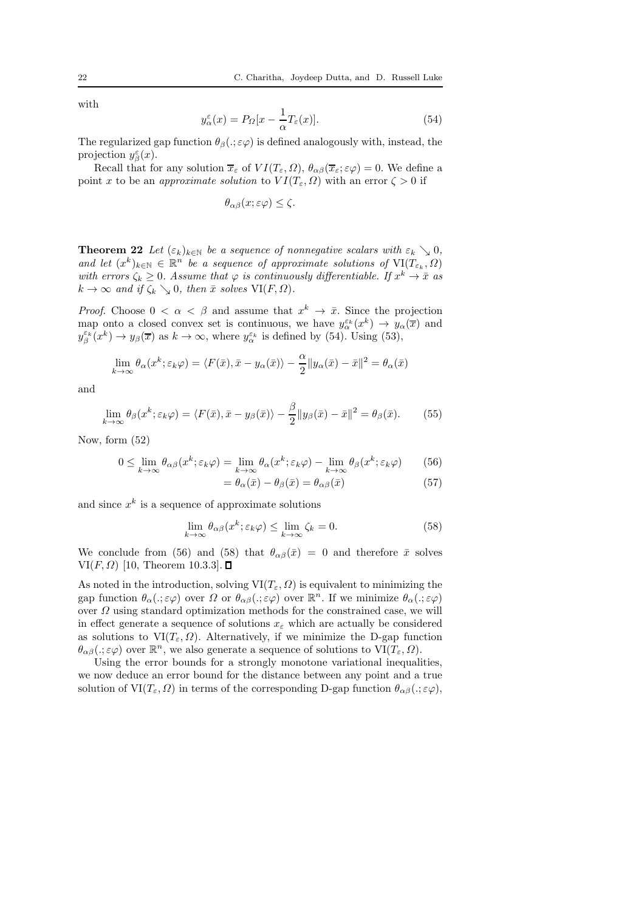with

$$
y_{\alpha}^{\varepsilon}(x) = P_{\Omega}[x - \frac{1}{\alpha}T_{\varepsilon}(x)].
$$
\n(54)

The regularized gap function  $\theta_{\beta}(\cdot;\varepsilon\varphi)$  is defined analogously with, instead, the projection  $y_{\beta}^{\varepsilon}(x)$ .

Recall that for any solution  $\overline{x}_{\varepsilon}$  of  $VI(T_{\varepsilon}, \Omega)$ ,  $\theta_{\alpha\beta}(\overline{x}_{\varepsilon}; \varepsilon \varphi) = 0$ . We define a point x to be an approximate solution to  $VI(T_{\varepsilon}, \Omega)$  with an error  $\zeta > 0$  if

$$
\theta_{\alpha\beta}(x;\varepsilon\varphi)\leq\zeta.
$$

**Theorem 22** Let  $(\varepsilon_k)_{k\in\mathbb{N}}$  be a sequence of nonnegative scalars with  $\varepsilon_k \searrow 0$ , and let  $(x^k)_{k\in\mathbb{N}}\in\mathbb{R}^n$  be a sequence of approximate solutions of  $\mathrm{VI}(T_{\varepsilon_k},\Omega)$ with errors  $\zeta_k \geq 0$ . Assume that  $\varphi$  is continuously differentiable. If  $x^k \to \bar{x}$  as  $k \to \infty$  and if  $\zeta_k \searrow 0$ , then  $\bar{x}$  solves  $\text{VI}(F, \Omega)$ .

*Proof.* Choose  $0 < \alpha < \beta$  and assume that  $x^k \to \bar{x}$ . Since the projection map onto a closed convex set is continuous, we have  $y_{\alpha}^{\varepsilon_k}(x^k) \to y_{\alpha}(\overline{x})$  and  $y_{\beta}^{\varepsilon_k}(x^k) \to y_{\beta}(\overline{x})$  as  $k \to \infty$ , where  $y_{\alpha}^{\varepsilon_k}$  is defined by (54). Using (53),

$$
\lim_{k \to \infty} \theta_{\alpha}(x^k; \varepsilon_k \varphi) = \langle F(\bar{x}), \bar{x} - y_{\alpha}(\bar{x}) \rangle - \frac{\alpha}{2} ||y_{\alpha}(\bar{x}) - \bar{x}||^2 = \theta_{\alpha}(\bar{x})
$$

and

$$
\lim_{k \to \infty} \theta_{\beta}(x^k; \varepsilon_k \varphi) = \langle F(\bar{x}), \bar{x} - y_{\beta}(\bar{x}) \rangle - \frac{\beta}{2} \| y_{\beta}(\bar{x}) - \bar{x} \|^2 = \theta_{\beta}(\bar{x}). \tag{55}
$$

Now, form (52)

$$
0 \le \lim_{k \to \infty} \theta_{\alpha\beta}(x^k; \varepsilon_k \varphi) = \lim_{k \to \infty} \theta_{\alpha}(x^k; \varepsilon_k \varphi) - \lim_{k \to \infty} \theta_{\beta}(x^k; \varepsilon_k \varphi)
$$
(56)

$$
= \theta_{\alpha}(\bar{x}) - \theta_{\beta}(\bar{x}) = \theta_{\alpha\beta}(\bar{x}) \tag{57}
$$

and since  $x^k$  is a sequence of approximate solutions

$$
\lim_{k \to \infty} \theta_{\alpha\beta}(x^k; \varepsilon_k \varphi) \le \lim_{k \to \infty} \zeta_k = 0.
$$
\n(58)

We conclude from (56) and (58) that  $\theta_{\alpha\beta}(\bar{x}) = 0$  and therefore  $\bar{x}$  solves VI $(F, \Omega)$  [10, Theorem 10.3.3].  $\square$ 

As noted in the introduction, solving  $VI(T_{\varepsilon}, \Omega)$  is equivalent to minimizing the gap function  $\theta_{\alpha}(.,\varepsilon\varphi)$  over  $\Omega$  or  $\theta_{\alpha\beta}(.,\varepsilon\varphi)$  over  $\mathbb{R}^n$ . If we minimize  $\theta_{\alpha}(.,\varepsilon\varphi)$ over  $\Omega$  using standard optimization methods for the constrained case, we will in effect generate a sequence of solutions  $x_{\varepsilon}$  which are actually be considered as solutions to  $\text{VI}(T_{\varepsilon}, \Omega)$ . Alternatively, if we minimize the D-gap function  $\theta_{\alpha\beta}$ (:;  $\varepsilon\varphi$ ) over  $\mathbb{R}^n$ , we also generate a sequence of solutions to  $VI(T_{\varepsilon}, \Omega)$ .

Using the error bounds for a strongly monotone variational inequalities, we now deduce an error bound for the distance between any point and a true solution of  $VI(T_{\varepsilon}, \Omega)$  in terms of the corresponding D-gap function  $\theta_{\alpha\beta}(.; \varepsilon\varphi)$ ,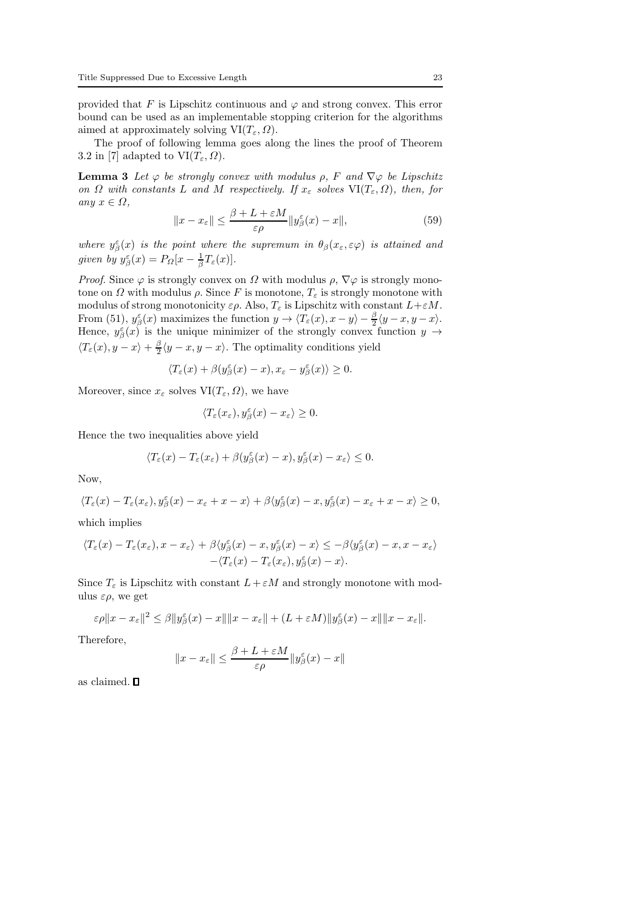provided that F is Lipschitz continuous and  $\varphi$  and strong convex. This error bound can be used as an implementable stopping criterion for the algorithms aimed at approximately solving  $VI(T_{\varepsilon}, \Omega)$ .

The proof of following lemma goes along the lines the proof of Theorem 3.2 in [7] adapted to  $VI(T_{\varepsilon}, \Omega)$ .

**Lemma 3** Let  $\varphi$  be strongly convex with modulus  $\rho$ , F and  $\nabla \varphi$  be Lipschitz on  $\Omega$  with constants L and M respectively. If  $x_{\varepsilon}$  solves  $\text{VI}(T_{\varepsilon}, \Omega)$ , then, for any  $x \in \Omega$ ,

$$
||x - x_{\varepsilon}|| \le \frac{\beta + L + \varepsilon M}{\varepsilon \rho} ||y_{\beta}^{\varepsilon}(x) - x||,
$$
\n(59)

where  $y_{\beta}^{\varepsilon}(x)$  is the point where the supremum in  $\theta_{\beta}(x_{\varepsilon}, \varepsilon \varphi)$  is attained and given by  $y_{\beta}^{\varepsilon}(x) = P_{\Omega}[x - \frac{1}{\beta}T_{\varepsilon}(x)].$ 

*Proof.* Since  $\varphi$  is strongly convex on  $\Omega$  with modulus  $\rho$ ,  $\nabla \varphi$  is strongly monotone on  $\Omega$  with modulus  $\rho$ . Since F is monotone,  $T_{\varepsilon}$  is strongly monotone with modulus of strong monotonicity  $\varepsilon \rho$ . Also,  $T_{\varepsilon}$  is Lipschitz with constant  $L + \varepsilon M$ . From (51),  $y_{\beta}^{\varepsilon}(x)$  maximizes the function  $y \to \langle T_{\varepsilon}(x), x - y \rangle - \frac{\beta}{2} \langle y - x, y - x \rangle$ . Hence,  $y_{\beta}^{\varepsilon}(x)$  is the unique minimizer of the strongly convex function  $y \to$  $\langle T_{\varepsilon}(x), y - x \rangle + \frac{\beta}{2} \langle y - x, y - x \rangle$ . The optimality conditions yield

$$
\langle T_\varepsilon(x)+\beta(y^\varepsilon_\beta(x)-x),x_\varepsilon-y^\varepsilon_\beta(x)\rangle\geq 0.
$$

Moreover, since  $x_{\varepsilon}$  solves  $VI(T_{\varepsilon}, \Omega)$ , we have

$$
\langle T_{\varepsilon}(x_{\varepsilon}), y_{\beta}^{\varepsilon}(x) - x_{\varepsilon} \rangle \ge 0.
$$

Hence the two inequalities above yield

$$
\langle T_\varepsilon(x)-T_\varepsilon(x_\varepsilon)+\beta(y^\varepsilon_\beta(x)-x),y^\varepsilon_\beta(x)-x_\varepsilon\rangle\leq 0.
$$

Now,

$$
\langle T_{\varepsilon}(x)-T_{\varepsilon}(x_{\varepsilon}),y_{\beta}^{\varepsilon}(x)-x_{\varepsilon}+x-x\rangle+\beta\langle y_{\beta}^{\varepsilon}(x)-x,y_{\beta}^{\varepsilon}(x)-x_{\varepsilon}+x-x\rangle\geq 0,
$$

which implies

$$
\langle T_{\varepsilon}(x) - T_{\varepsilon}(x_{\varepsilon}), x - x_{\varepsilon} \rangle + \beta \langle y_{\beta}^{\varepsilon}(x) - x, y_{\beta}^{\varepsilon}(x) - x \rangle \le -\beta \langle y_{\beta}^{\varepsilon}(x) - x, x - x_{\varepsilon} \rangle -\langle T_{\varepsilon}(x) - T_{\varepsilon}(x_{\varepsilon}), y_{\beta}^{\varepsilon}(x) - x \rangle.
$$

Since  $T_{\varepsilon}$  is Lipschitz with constant  $L + \varepsilon M$  and strongly monotone with modulus  $\varepsilon \rho$ , we get

$$
\varepsilon \rho \|x - x_{\varepsilon}\|^2 \leq \beta \|y_{\beta}^{\varepsilon}(x) - x\| \|x - x_{\varepsilon}\| + (L + \varepsilon M) \|y_{\beta}^{\varepsilon}(x) - x\| \|x - x_{\varepsilon}\|.
$$

Therefore,

$$
\|x-x_\varepsilon\|\leq \frac{\beta+L+\varepsilon M}{\varepsilon\rho}\|y^\varepsilon_\beta(x)-x\|
$$

as claimed.  $\square$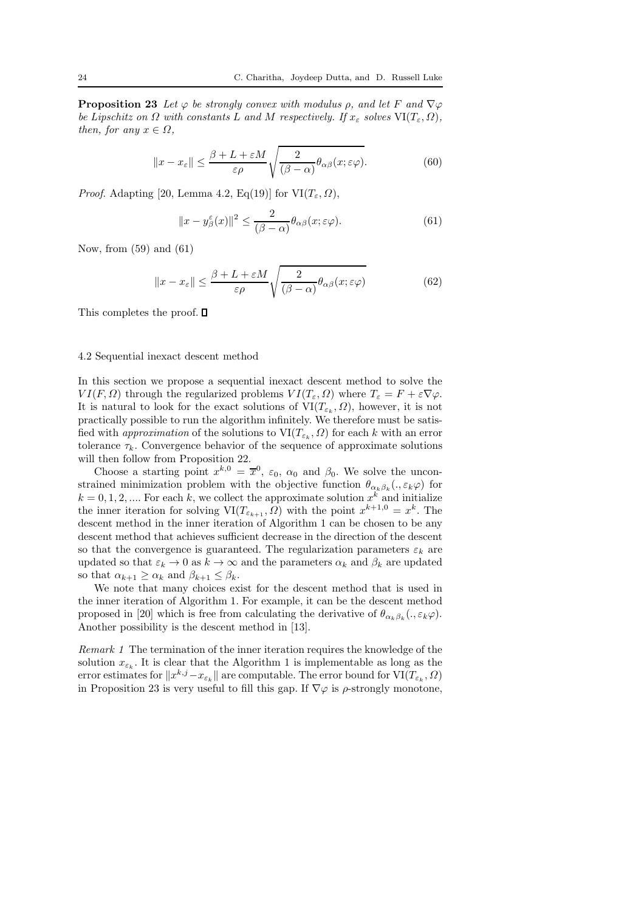**Proposition 23** Let  $\varphi$  be strongly convex with modulus  $\rho$ , and let F and  $\nabla \varphi$ be Lipschitz on  $\Omega$  with constants L and M respectively. If  $x_{\varepsilon}$  solves  $\text{VI}(T_{\varepsilon}, \Omega)$ , then, for any  $x \in \Omega$ ,

$$
||x - x_{\varepsilon}|| \le \frac{\beta + L + \varepsilon M}{\varepsilon \rho} \sqrt{\frac{2}{(\beta - \alpha)} \theta_{\alpha\beta}(x; \varepsilon \varphi)}.
$$
 (60)

*Proof.* Adapting [20, Lemma 4.2, Eq(19)] for  $VI(T_{\varepsilon}, \Omega)$ ,

$$
||x - y_{\beta}^{\varepsilon}(x)||^2 \le \frac{2}{(\beta - \alpha)} \theta_{\alpha\beta}(x; \varepsilon \varphi).
$$
 (61)

Now, from (59) and (61)

$$
||x - x_{\varepsilon}|| \le \frac{\beta + L + \varepsilon M}{\varepsilon \rho} \sqrt{\frac{2}{(\beta - \alpha)} \theta_{\alpha\beta}(x; \varepsilon \varphi)}
$$
(62)

This completes the proof.  $\square$ 

### 4.2 Sequential inexact descent method

In this section we propose a sequential inexact descent method to solve the  $VI(F, \Omega)$  through the regularized problems  $VI(T_{\varepsilon}, \Omega)$  where  $T_{\varepsilon} = F + \varepsilon \nabla \varphi$ . It is natural to look for the exact solutions of  $VI(T_{\varepsilon_k}, \Omega)$ , however, it is not practically possible to run the algorithm infinitely. We therefore must be satisfied with *approximation* of the solutions to  $VI(T_{\varepsilon_k}, \Omega)$  for each k with an error tolerance  $\tau_k$ . Convergence behavior of the sequence of approximate solutions will then follow from Proposition 22.

Choose a starting point  $x^{k,0} = \overline{x}^0$ ,  $\varepsilon_0$ ,  $\alpha_0$  and  $\beta_0$ . We solve the unconstrained minimization problem with the objective function  $\theta_{\alpha_k\beta_k}(.,\varepsilon_k\varphi)$  for  $k = 0, 1, 2, \dots$  For each k, we collect the approximate solution  $x^k$  and initialize the inner iteration for solving  $VI(T_{\varepsilon_{k+1}}, \Omega)$  with the point  $x^{k+1,0} = x^k$ . The descent method in the inner iteration of Algorithm 1 can be chosen to be any descent method that achieves sufficient decrease in the direction of the descent so that the convergence is guaranteed. The regularization parameters  $\varepsilon_k$  are updated so that  $\varepsilon_k \to 0$  as  $k \to \infty$  and the parameters  $\alpha_k$  and  $\beta_k$  are updated so that  $\alpha_{k+1} \geq \alpha_k$  and  $\beta_{k+1} \leq \beta_k$ .

We note that many choices exist for the descent method that is used in the inner iteration of Algorithm 1. For example, it can be the descent method proposed in [20] which is free from calculating the derivative of  $\theta_{\alpha_k\beta_k}(.,\varepsilon_k\varphi)$ . Another possibility is the descent method in [13].

Remark 1 The termination of the inner iteration requires the knowledge of the solution  $x_{\varepsilon_k}$ . It is clear that the Algorithm 1 is implementable as long as the error estimates for  $||x^{k,j} - x_{\varepsilon_k}||$  are computable. The error bound for  $VI(T_{\varepsilon_k}, \Omega)$ in Proposition 23 is very useful to fill this gap. If  $\nabla \varphi$  is  $\rho$ -strongly monotone,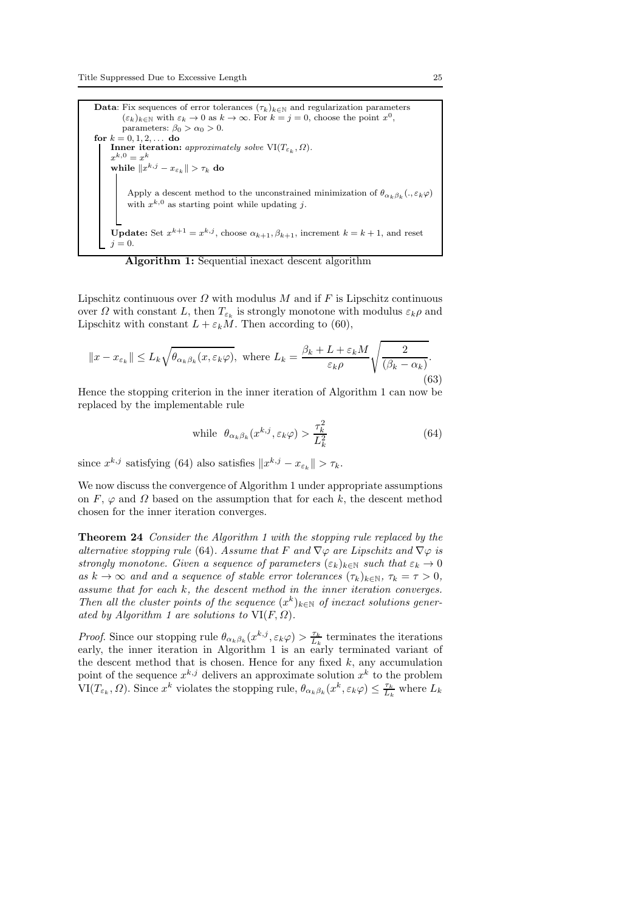**Data**: Fix sequences of error tolerances  $(\tau_k)_{k \in \mathbb{N}}$  and regularization parameters  $(\varepsilon_k)_{k\in\mathbb{N}}$  with  $\varepsilon_k\to 0$  as  $k\to\infty$ . For  $k=j=0$ , choose the point  $x^0$ , parameters:  $\beta_0 > \alpha_0 > 0$ . for  $k = 0, 1, 2, ...$  do **Inner iteration:** approximately solve  $VI(T_{\varepsilon_k}, \Omega)$ .  $x^{k,0} = x^k$ while  $\|x^{k,j} - x_{\varepsilon_k}\| > \tau_k$  do Apply a descent method to the unconstrained minimization of  $\theta_{\alpha_k\beta_k}(.,\varepsilon_k\varphi)$ with  $x^{k,0}$  as starting point while updating j. **Update:** Set  $x^{k+1} = x^{k,j}$ , choose  $\alpha_{k+1}, \beta_{k+1}$ , increment  $k = k+1$ , and reset  $j = 0$ .

Algorithm 1: Sequential inexact descent algorithm

Lipschitz continuous over  $\Omega$  with modulus M and if F is Lipschitz continuous over  $\Omega$  with constant L, then  $T_{\varepsilon_k}$  is strongly monotone with modulus  $\varepsilon_k \rho$  and Lipschitz with constant  $L + \varepsilon_k M$ . Then according to (60),

$$
||x - x_{\varepsilon_k}|| \le L_k \sqrt{\theta_{\alpha_k \beta_k}(x, \varepsilon_k \varphi)}, \text{ where } L_k = \frac{\beta_k + L + \varepsilon_k M}{\varepsilon_k \rho} \sqrt{\frac{2}{(\beta_k - \alpha_k)}}.
$$
\n
$$
(63)
$$

Hence the stopping criterion in the inner iteration of Algorithm 1 can now be replaced by the implementable rule

while 
$$
\theta_{\alpha_k \beta_k}(x^{k,j}, \varepsilon_k \varphi) > \frac{\tau_k^2}{L_k^2}
$$
 (64)

since  $x^{k,j}$  satisfying (64) also satisfies  $||x^{k,j} - x_{\varepsilon_k}|| > \tau_k$ .

We now discuss the convergence of Algorithm 1 under appropriate assumptions on F,  $\varphi$  and  $\Omega$  based on the assumption that for each k, the descent method chosen for the inner iteration converges.

Theorem 24 Consider the Algorithm 1 with the stopping rule replaced by the alternative stopping rule (64). Assume that F and  $\nabla\varphi$  are Lipschitz and  $\nabla\varphi$  is strongly monotone. Given a sequence of parameters  $(\varepsilon_k)_{k\in\mathbb{N}}$  such that  $\varepsilon_k \to 0$ as  $k \to \infty$  and and a sequence of stable error tolerances  $(\tau_k)_{k \in \mathbb{N}}$ ,  $\tau_k = \tau > 0$ , assume that for each k, the descent method in the inner iteration converges. Then all the cluster points of the sequence  $(x^k)_{k\in\mathbb{N}}$  of inexact solutions generated by Algorithm 1 are solutions to  $VI(F, \Omega)$ .

*Proof.* Since our stopping rule  $\theta_{\alpha_k\beta_k}(x^{k,j}, \varepsilon_k\varphi) > \frac{\tau_k}{L_k}$  terminates the iterations early, the inner iteration in Algorithm 1 is an early terminated variant of the descent method that is chosen. Hence for any fixed  $k$ , any accumulation point of the sequence  $x^{k,j}$  delivers an approximate solution  $x^k$  to the problem  $\text{VI}(T_{\varepsilon_k}, \Omega)$ . Since  $x^k$  violates the stopping rule,  $\theta_{\alpha_k \beta_k}(x^k, \varepsilon_k \varphi) \leq \frac{\tau_k}{L_k}$  where  $L_k$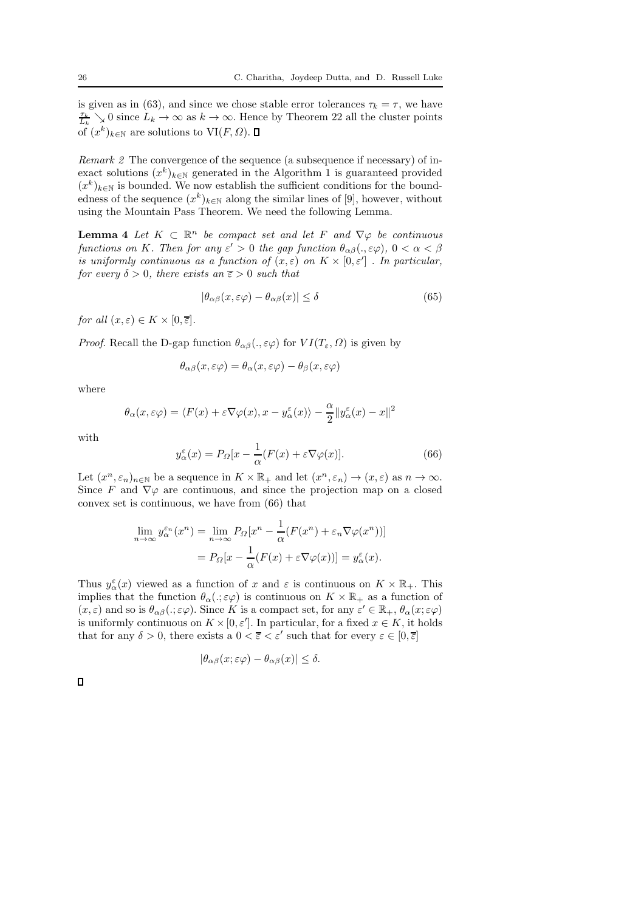is given as in (63), and since we chose stable error tolerances  $\tau_k = \tau$ , we have  $\frac{\tau_k}{L_k} \searrow 0$  since  $L_k \to \infty$  as  $k \to \infty$ . Hence by Theorem 22 all the cluster points of  $(x^k)_{k \in \mathbb{N}}$  are solutions to  $VI(F, \Omega)$ .

Remark 2 The convergence of the sequence (a subsequence if necessary) of inexact solutions  $(x^k)_{k \in \mathbb{N}}$  generated in the Algorithm 1 is guaranteed provided  $(x^k)_{k\in\mathbb{N}}$  is bounded. We now establish the sufficient conditions for the boundedness of the sequence  $(x^k)_{k \in \mathbb{N}}$  along the similar lines of [9], however, without using the Mountain Pass Theorem. We need the following Lemma.

**Lemma 4** Let  $K \subset \mathbb{R}^n$  be compact set and let F and  $\nabla \varphi$  be continuous functions on K. Then for any  $\varepsilon' > 0$  the gap function  $\theta_{\alpha\beta}(., \varepsilon\varphi), 0 < \alpha < \beta$ is uniformly continuous as a function of  $(x, \varepsilon)$  on  $K \times [0, \varepsilon']$ . In particular, for every  $\delta > 0$ , there exists an  $\overline{\epsilon} > 0$  such that

$$
|\theta_{\alpha\beta}(x,\varepsilon\varphi) - \theta_{\alpha\beta}(x)| \le \delta \tag{65}
$$

for all  $(x, \varepsilon) \in K \times [0, \overline{\varepsilon}].$ 

*Proof.* Recall the D-gap function  $\theta_{\alpha\beta}$ ,  $\varepsilon \varphi$  for  $VI(T_{\varepsilon}, \Omega)$  is given by

$$
\theta_{\alpha\beta}(x,\varepsilon\varphi) = \theta_{\alpha}(x,\varepsilon\varphi) - \theta_{\beta}(x,\varepsilon\varphi)
$$

where

$$
\theta_{\alpha}(x,\varepsilon\varphi) = \langle F(x) + \varepsilon \nabla \varphi(x), x - y_{\alpha}^{\varepsilon}(x) \rangle - \frac{\alpha}{2} ||y_{\alpha}^{\varepsilon}(x) - x||^2
$$

with

$$
y_{\alpha}^{\varepsilon}(x) = P_{\Omega}[x - \frac{1}{\alpha}(F(x) + \varepsilon \nabla \varphi(x)].
$$
\n(66)

Let  $(x^n, \varepsilon_n)_{n \in \mathbb{N}}$  be a sequence in  $K \times \mathbb{R}_+$  and let  $(x^n, \varepsilon_n) \to (x, \varepsilon)$  as  $n \to \infty$ . Since F and  $\nabla\varphi$  are continuous, and since the projection map on a closed convex set is continuous, we have from (66) that

$$
\lim_{n \to \infty} y_{\alpha}^{\varepsilon_n}(x^n) = \lim_{n \to \infty} P_{\Omega}[x^n - \frac{1}{\alpha}(F(x^n) + \varepsilon_n \nabla \varphi(x^n))]
$$

$$
= P_{\Omega}[x - \frac{1}{\alpha}(F(x) + \varepsilon \nabla \varphi(x))] = y_{\alpha}^{\varepsilon}(x).
$$

Thus  $y_{\alpha}^{\varepsilon}(x)$  viewed as a function of x and  $\varepsilon$  is continuous on  $K \times \mathbb{R}_{+}$ . This implies that the function  $\theta_{\alpha}(.;\varepsilon\varphi)$  is continuous on  $K \times \mathbb{R}_+$  as a function of  $(x, \varepsilon)$  and so is  $\theta_{\alpha\beta}(.; \varepsilon\varphi)$ . Since K is a compact set, for any  $\varepsilon' \in \mathbb{R}_+$ ,  $\theta_{\alpha}(x; \varepsilon\varphi)$ is uniformly continuous on  $K \times [0, \varepsilon']$ . In particular, for a fixed  $x \in K$ , it holds that for any  $\delta > 0$ , there exists a  $0 < \overline{\varepsilon} < \varepsilon'$  such that for every  $\varepsilon \in [0, \overline{\varepsilon}]$ 

$$
|\theta_{\alpha\beta}(x;\varepsilon\varphi) - \theta_{\alpha\beta}(x)| \le \delta.
$$

 $\Box$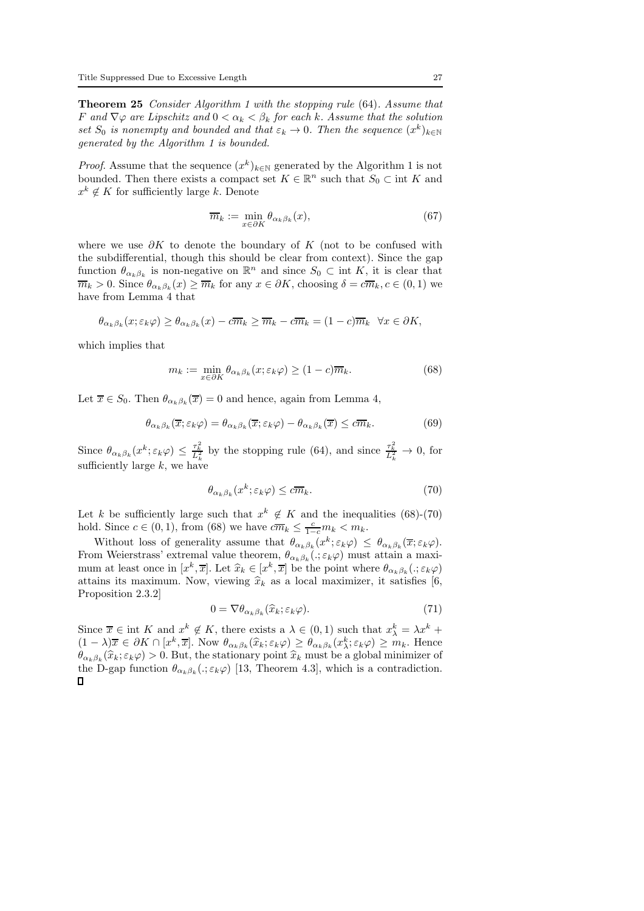Theorem 25 Consider Algorithm 1 with the stopping rule (64). Assume that F and  $\nabla \varphi$  are Lipschitz and  $0 < \alpha_k < \beta_k$  for each k. Assume that the solution set  $S_0$  is nonempty and bounded and that  $\varepsilon_k \to 0$ . Then the sequence  $(x^k)_{k \in \mathbb{N}}$ generated by the Algorithm 1 is bounded.

*Proof.* Assume that the sequence  $(x^k)_{k \in \mathbb{N}}$  generated by the Algorithm 1 is not bounded. Then there exists a compact set  $K \in \mathbb{R}^n$  such that  $S_0 \subset \text{int } K$  and  $x^k \notin K$  for sufficiently large k. Denote

$$
\overline{m}_k := \min_{x \in \partial K} \theta_{\alpha_k \beta_k}(x),\tag{67}
$$

where we use  $\partial K$  to denote the boundary of K (not to be confused with the subdifferential, though this should be clear from context). Since the gap function  $\theta_{\alpha_k,\beta_k}$  is non-negative on  $\mathbb{R}^n$  and since  $S_0 \subset \text{int } K$ , it is clear that  $\overline{m}_k > 0$ . Since  $\theta_{\alpha_k,\beta_k}(x) \ge \overline{m}_k$  for any  $x \in \partial K$ , choosing  $\delta = c\overline{m}_k, c \in (0,1)$  we have from Lemma 4 that

$$
\theta_{\alpha_k\beta_k}(x;\varepsilon_k\varphi) \ge \theta_{\alpha_k\beta_k}(x) - c\overline{m}_k \ge \overline{m}_k - c\overline{m}_k = (1-c)\overline{m}_k \quad \forall x \in \partial K,
$$

which implies that

$$
m_k := \min_{x \in \partial K} \theta_{\alpha_k \beta_k}(x; \varepsilon_k \varphi) \ge (1 - c)\overline{m}_k. \tag{68}
$$

Let  $\overline{x} \in S_0$ . Then  $\theta_{\alpha_k,\beta_k}(\overline{x})=0$  and hence, again from Lemma 4,

$$
\theta_{\alpha_k \beta_k}(\overline{x}; \varepsilon_k \varphi) = \theta_{\alpha_k \beta_k}(\overline{x}; \varepsilon_k \varphi) - \theta_{\alpha_k \beta_k}(\overline{x}) \leq c \overline{m}_k. \tag{69}
$$

Since  $\theta_{\alpha_k\beta_k}(x^k;\varepsilon_k\varphi) \leq \frac{\tau_k^2}{L_k^2}$  by the stopping rule (64), and since  $\frac{\tau_k^2}{L_k^2} \to 0$ , for sufficiently large  $k$ , we have

$$
\theta_{\alpha_k\beta_k}(x^k; \varepsilon_k \varphi) \leq c\overline{m}_k. \tag{70}
$$

Let k be sufficiently large such that  $x^k \notin K$  and the inequalities (68)-(70) hold. Since  $c \in (0, 1)$ , from (68) we have  $c\overline{m}_k \leq \frac{c}{1-c}m_k < m_k$ .

Without loss of generality assume that  $\theta_{\alpha_k\beta_k}(x^k; \varepsilon_k\varphi) \leq \theta_{\alpha_k\beta_k}(\overline{x}; \varepsilon_k\varphi)$ . From Weierstrass' extremal value theorem,  $\theta_{\alpha_k\beta_k}(.;\varepsilon_k\varphi)$  must attain a maximum at least once in  $[x^k, \overline{x}]$ . Let  $\widehat{x}_k \in [x^k, \overline{x}]$  be the point where  $\theta_{\alpha_k \beta_k}(:, \varepsilon_k \varphi)$ attains its maximum. Now, viewing  $\hat{x}_k$  as a local maximizer, it satisfies [6, Proposition 2.3.2]

$$
0 = \nabla \theta_{\alpha_k \beta_k}(\widehat{x}_k; \varepsilon_k \varphi).
$$
 (71)

Since  $\overline{x} \in \text{int } K$  and  $x^k \notin K$ , there exists a  $\lambda \in (0,1)$  such that  $x^k_{\lambda} = \lambda x^k +$  $(1 - \lambda)\overline{x} \in \partial K \cap [x^k, \overline{x}]$ . Now  $\theta_{\alpha_k\beta_k}(\widehat{x}_k; \epsilon_k\varphi) \ge \theta_{\alpha_k\beta_k}(x^k_k; \epsilon_k\varphi) \ge m_k$ . Hence  $\theta_{\alpha_k\beta_k}(\hat{x}_k;\varepsilon_k\varphi) > 0$ . But, the stationary point  $\hat{x}_k$  must be a global minimizer of the D-gap function  $\theta_{\alpha_k\beta_k}(.;\varepsilon_k\varphi)$  [13, Theorem 4.3], which is a contradiction.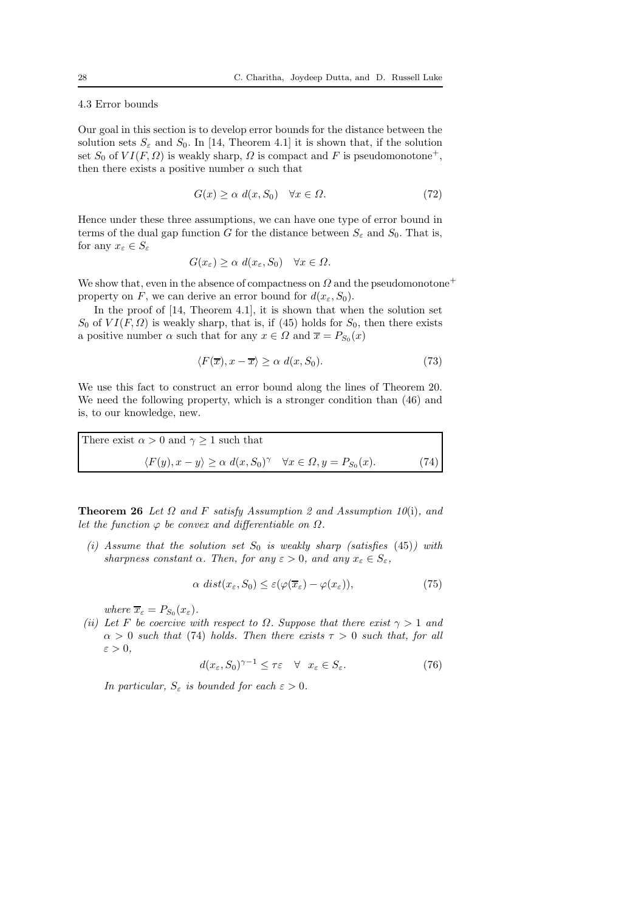### 4.3 Error bounds

Our goal in this section is to develop error bounds for the distance between the solution sets  $S_{\varepsilon}$  and  $S_0$ . In [14, Theorem 4.1] it is shown that, if the solution set  $S_0$  of  $VI(F, \Omega)$  is weakly sharp,  $\Omega$  is compact and F is pseudomonotone<sup>+</sup>, then there exists a positive number  $\alpha$  such that

$$
G(x) \ge \alpha \ d(x, S_0) \quad \forall x \in \Omega. \tag{72}
$$

Hence under these three assumptions, we can have one type of error bound in terms of the dual gap function G for the distance between  $S_{\varepsilon}$  and  $S_0$ . That is, for any  $x_{\varepsilon} \in S_{\varepsilon}$ 

$$
G(x_{\varepsilon}) \ge \alpha \ d(x_{\varepsilon}, S_0) \quad \forall x \in \Omega.
$$

We show that, even in the absence of compactness on  $\Omega$  and the pseudomonotone<sup>+</sup> property on F, we can derive an error bound for  $d(x_{\varepsilon}, S_0)$ .

In the proof of [14, Theorem 4.1], it is shown that when the solution set  $S_0$  of  $VI(F, \Omega)$  is weakly sharp, that is, if (45) holds for  $S_0$ , then there exists a positive number  $\alpha$  such that for any  $x \in \Omega$  and  $\overline{x} = P_{S_0}(x)$ 

$$
\langle F(\overline{x}), x - \overline{x} \rangle \ge \alpha \ d(x, S_0). \tag{73}
$$

We use this fact to construct an error bound along the lines of Theorem 20. We need the following property, which is a stronger condition than (46) and is, to our knowledge, new.

There exist  $\alpha > 0$  and  $\gamma \geq 1$  such that  $\langle F(y), x - y \rangle \ge \alpha \ d(x, S_0)^\gamma \quad \forall x \in \Omega, y = P_{S_0}$  $(74)$ 

**Theorem 26** Let  $\Omega$  and F satisfy Assumption 2 and Assumption 10(i), and let the function  $\varphi$  be convex and differentiable on  $\Omega$ .

(i) Assume that the solution set  $S_0$  is weakly sharp (satisfies (45)) with sharpness constant  $\alpha$ . Then, for any  $\varepsilon > 0$ , and any  $x_{\varepsilon} \in S_{\varepsilon}$ ,

$$
\alpha \ dist(x_{\varepsilon}, S_0) \leq \varepsilon (\varphi(\overline{x}_{\varepsilon}) - \varphi(x_{\varepsilon})), \tag{75}
$$

where  $\overline{x}_{\varepsilon} = P_{S_0}(x_{\varepsilon}).$ 

(ii) Let F be coercive with respect to  $\Omega$ . Suppose that there exist  $\gamma > 1$  and  $\alpha > 0$  such that (74) holds. Then there exists  $\tau > 0$  such that, for all  $\varepsilon > 0$ ,

$$
d(x_{\varepsilon}, S_0)^{\gamma - 1} \le \tau \varepsilon \quad \forall \quad x_{\varepsilon} \in S_{\varepsilon}.
$$
 (76)

In particular,  $S_{\varepsilon}$  is bounded for each  $\varepsilon > 0$ .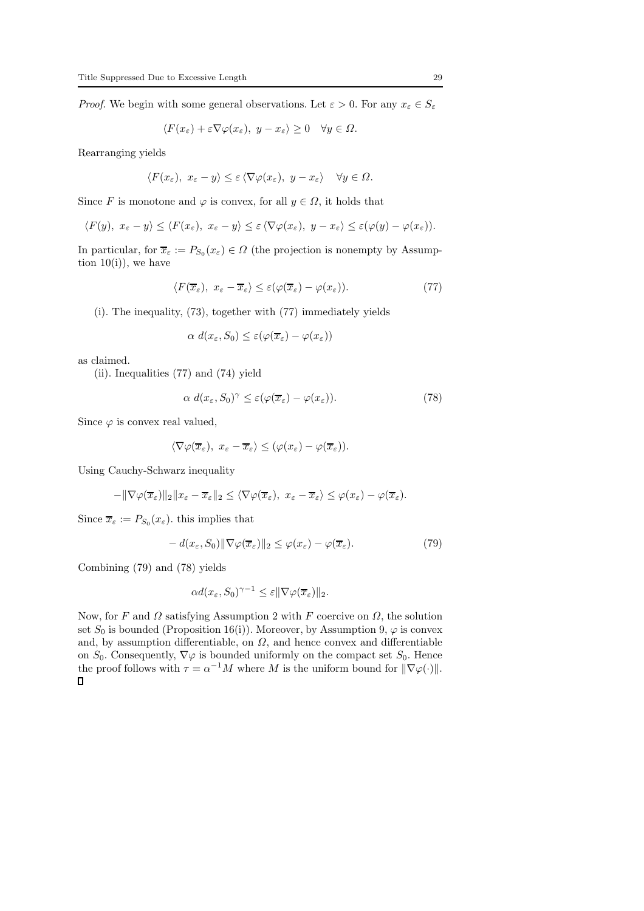*Proof.* We begin with some general observations. Let  $\varepsilon > 0$ . For any  $x_{\varepsilon} \in S_{\varepsilon}$ 

$$
\langle F(x_{\varepsilon}) + \varepsilon \nabla \varphi(x_{\varepsilon}), y - x_{\varepsilon} \rangle \ge 0 \quad \forall y \in \Omega.
$$

Rearranging yields

$$
\langle F(x_{\varepsilon}), x_{\varepsilon} - y \rangle \leq \varepsilon \langle \nabla \varphi(x_{\varepsilon}), y - x_{\varepsilon} \rangle \quad \forall y \in \Omega.
$$

Since F is monotone and  $\varphi$  is convex, for all  $y \in \Omega$ , it holds that

$$
\langle F(y), x_{\varepsilon} - y \rangle \leq \langle F(x_{\varepsilon}), x_{\varepsilon} - y \rangle \leq \varepsilon \langle \nabla \varphi(x_{\varepsilon}), y - x_{\varepsilon} \rangle \leq \varepsilon (\varphi(y) - \varphi(x_{\varepsilon})).
$$

In particular, for  $\overline{x}_{\varepsilon} := P_{S_0}(x_{\varepsilon}) \in \Omega$  (the projection is nonempty by Assumption  $10(i)$ , we have

$$
\langle F(\overline{x}_{\varepsilon}), x_{\varepsilon} - \overline{x}_{\varepsilon} \rangle \le \varepsilon (\varphi(\overline{x}_{\varepsilon}) - \varphi(x_{\varepsilon})). \tag{77}
$$

(i). The inequality, (73), together with (77) immediately yields

$$
\alpha \, d(x_{\varepsilon}, S_0) \leq \varepsilon (\varphi(\overline{x}_{\varepsilon}) - \varphi(x_{\varepsilon}))
$$

as claimed.

(ii). Inequalities (77) and (74) yield

$$
\alpha \ d(x_{\varepsilon}, S_0)^{\gamma} \leq \varepsilon (\varphi(\overline{x}_{\varepsilon}) - \varphi(x_{\varepsilon})). \tag{78}
$$

Since  $\varphi$  is convex real valued,

$$
\langle \nabla \varphi(\overline{x}_{\varepsilon}), x_{\varepsilon} - \overline{x}_{\varepsilon} \rangle \leq (\varphi(x_{\varepsilon}) - \varphi(\overline{x}_{\varepsilon})).
$$

Using Cauchy-Schwarz inequality

$$
-\|\nabla\varphi(\overline{x}_{\varepsilon})\|_2\|x_{\varepsilon}-\overline{x}_{\varepsilon}\|_2\leq \langle \nabla\varphi(\overline{x}_{\varepsilon}),\ x_{\varepsilon}-\overline{x}_{\varepsilon}\rangle\leq \varphi(x_{\varepsilon})-\varphi(\overline{x}_{\varepsilon}).
$$

Since  $\overline{x}_{\varepsilon} := P_{S_0}(x_{\varepsilon})$ , this implies that

$$
- d(x_{\varepsilon}, S_0) \|\nabla \varphi(\overline{x}_{\varepsilon})\|_2 \leq \varphi(x_{\varepsilon}) - \varphi(\overline{x}_{\varepsilon}). \tag{79}
$$

Combining (79) and (78) yields

$$
\alpha d(x_{\varepsilon}, S_0)^{\gamma - 1} \leq \varepsilon ||\nabla \varphi(\overline{x}_{\varepsilon})||_2.
$$

Now, for F and  $\Omega$  satisfying Assumption 2 with F coercive on  $\Omega$ , the solution set  $S_0$  is bounded (Proposition 16(i)). Moreover, by Assumption 9,  $\varphi$  is convex and, by assumption differentiable, on  $\Omega$ , and hence convex and differentiable on  $S_0$ . Consequently,  $\nabla \varphi$  is bounded uniformly on the compact set  $S_0$ . Hence the proof follows with  $\tau = \alpha^{-1}M$  where M is the uniform bound for  $\|\nabla\varphi(\cdot)\|$ .  $\Box$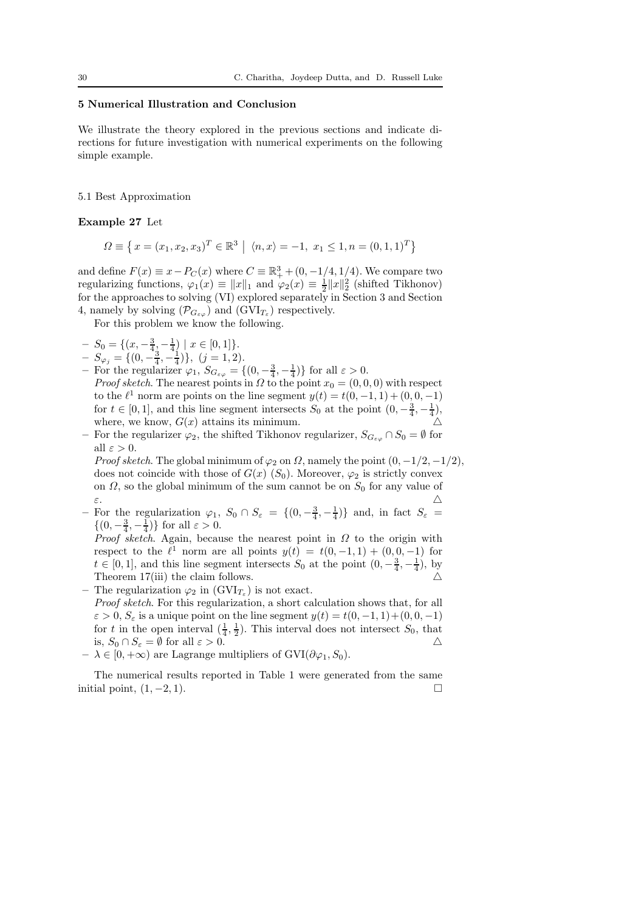#### 5 Numerical Illustration and Conclusion

We illustrate the theory explored in the previous sections and indicate directions for future investigation with numerical experiments on the following simple example.

### 5.1 Best Approximation

#### Example 27 Let

$$
\Omega \equiv \left\{ x = (x_1, x_2, x_3)^T \in \mathbb{R}^3 \mid \langle n, x \rangle = -1, \ x_1 \le 1, n = (0, 1, 1)^T \right\}
$$

and define  $F(x) \equiv x - P_C(x)$  where  $C \equiv \mathbb{R}^3_+ + (0, -1/4, 1/4)$ . We compare two regularizing functions,  $\varphi_1(x) \equiv ||x||_1$  and  $\varphi_2(x) \equiv \frac{1}{2} ||x||_2^2$  (shifted Tikhonov) for the approaches to solving (VI) explored separately in Section 3 and Section 4, namely by solving  $(\mathcal{P}_{G_{\varepsilon\varphi}})$  and  $(\text{GVI}_{T_{\varepsilon}})$  respectively.

For this problem we know the following.

- $-S_0 = \{ (x, -\frac{3}{4}, -\frac{1}{4}) \mid x \in [0,1] \}.$
- $-\underline{S}_{\varphi_j} = \{(0, -\frac{3}{4}, -\frac{1}{4})\}, \ (j = 1, 2).$
- For the regularizer  $\varphi_1$ ,  $S_{G_{\varepsilon\varphi}} = \{(0, -\frac{3}{4}, -\frac{1}{4})\}$  for all  $\varepsilon > 0$ . *Proof sketch*. The nearest points in  $\Omega$  to the point  $x_0 = (0, 0, 0)$  with respect to the  $\ell^1$  norm are points on the line segment  $y(t) = t(0, -1, 1) + (0, 0, -1)$ for  $t \in [0, 1]$ , and this line segment intersects  $S_0$  at the point  $(0, -\frac{3}{4}, -\frac{1}{4})$ , where, we know,  $G(x)$  attains its minimum.
- For the regularizer  $\varphi_2$ , the shifted Tikhonov regularizer,  $S_{G_{\varepsilon\varphi}} \cap S_0 = \emptyset$  for all  $\varepsilon > 0$ .

Proof sketch. The global minimum of  $\varphi_2$  on  $\Omega$ , namely the point  $(0, -1/2, -1/2)$ , does not coincide with those of  $G(x)$  ( $S_0$ ). Moreover,  $\varphi_2$  is strictly convex on  $\Omega$ , so the global minimum of the sum cannot be on  $S_0$  for any value of ε. △

– For the regularization  $\varphi_1$ ,  $S_0 \cap S_{\varepsilon} = \{(0, -\frac{3}{4}, -\frac{1}{4})\}$  and, in fact  $S_{\varepsilon} =$  $\{(0, -\frac{3}{4}, -\frac{1}{4})\}$  for all  $\varepsilon > 0$ .

*Proof sketch.* Again, because the nearest point in  $\Omega$  to the origin with respect to the  $\ell^1$  norm are all points  $y(t) = t(0, -1, 1) + (0, 0, -1)$  for  $t \in [0,1]$ , and this line segment intersects  $S_0$  at the point  $(0, -\frac{3}{4}, -\frac{1}{4})$ , by Theorem  $17(iii)$  the claim follows.

- The regularization  $\varphi_2$  in  $(GVI_{T_{\varepsilon}})$  is not exact.
- Proof sketch. For this regularization, a short calculation shows that, for all  $\varepsilon > 0$ ,  $S_{\varepsilon}$  is a unique point on the line segment  $y(t) = t(0, -1, 1) + (0, 0, -1)$ for t in the open interval  $(\frac{1}{4}, \frac{1}{2})$ . This interval does not intersect  $S_0$ , that is,  $S_0 \cap S_{\varepsilon} = \emptyset$  for all  $\varepsilon > 0$ .
- $\lambda \in [0, +\infty)$  are Lagrange multipliers of  $\text{GVI}(\partial \varphi_1, S_0)$ .

The numerical results reported in Table 1 were generated from the same initial point,  $(1, -2, 1)$ .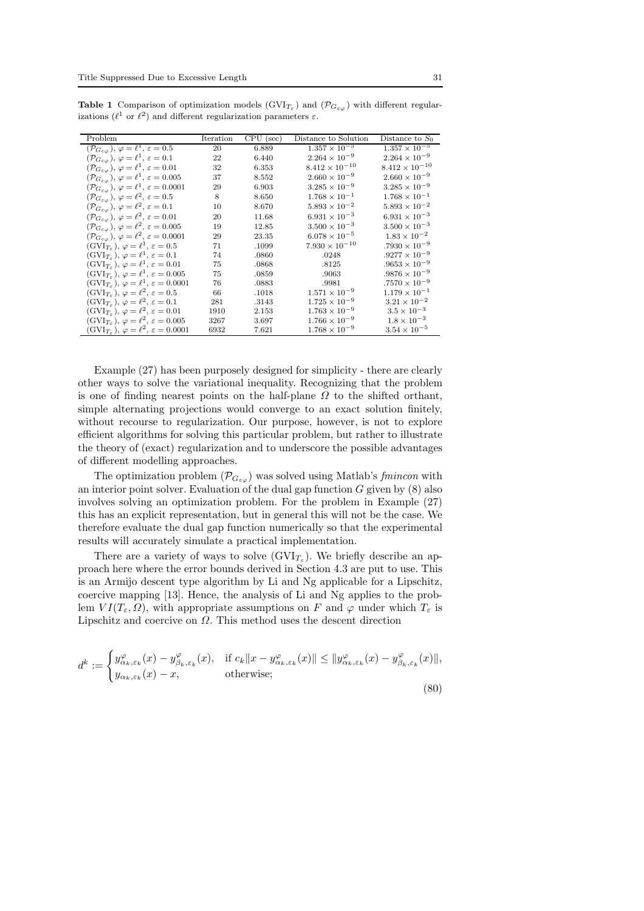| Problem                                                                            | Iteration | $CPU$ (sec) | Distance to Solution    | Distance to $S_0$       |
|------------------------------------------------------------------------------------|-----------|-------------|-------------------------|-------------------------|
| $(\mathcal{P}_{G_{\varepsilon\varphi}}), \varphi = \ell^1, \varepsilon = 0.5$      | 20        | 6.889       | $1.357 \times 10^{-5}$  | $1.357 \times 10^{-5}$  |
| $(\mathcal{P}_{G_{\varepsilon\varphi}}), \varphi = \ell^1, \varepsilon = 0.1$      | 22        | 6.440       | $2.264 \times 10^{-9}$  | $2.264 \times 10^{-9}$  |
| $(\mathcal{P}_{G_{\varepsilon\varphi}}),\, \varphi=\ell^1,\, \varepsilon=0.01$     | 32        | 6.353       | $8.412 \times 10^{-10}$ | $8.412 \times 10^{-10}$ |
| $(\mathcal{P}_{G_{\varepsilon\varphi}}),\,\varphi=\ell^{1},\,\varepsilon=0.005$    | 37        | 8.552       | $2.660 \times 10^{-9}$  | $2.660 \times 10^{-9}$  |
| $(\mathcal{P}_{G_{\varepsilon\varphi}}),\,\varphi=\ell^1,\,\varepsilon=0.0001$     | 29        | 6.903       | $3.285 \times 10^{-9}$  | $3.285 \times 10^{-9}$  |
| $(\mathcal{P}_{G_{\varepsilon\varphi}}), \varphi = \ell^2, \, \varepsilon = 0.5$   | 8         | 8.650       | $1.768 \times 10^{-1}$  | $1.768 \times 10^{-1}$  |
| $(\mathcal{P}_{G_{\varepsilon\varphi}}), \varphi = \ell^2, \, \varepsilon = 0.1$   | 10        | 8.670       | $5.893 \times 10^{-2}$  | $5.893 \times 10^{-2}$  |
| $(\mathcal{P}_{G_{\varepsilon\varphi}}), \varphi = \ell^2, \varepsilon = 0.01$     | 20        | 11.68       | $6.931 \times 10^{-3}$  | $6.931 \times 10^{-3}$  |
| $(\mathcal{P}_{G_{\varepsilon\varphi}}), \varphi = \ell^2, \, \varepsilon = 0.005$ | 19        | 12.85       | $3.500 \times 10^{-3}$  | $3.500 \times 10^{-3}$  |
| $(\mathcal{P}_{G_{\varepsilon\varphi}}), \varphi = \ell^2, \varepsilon = 0.0001$   | 29        | 23.35       | $6.078 \times 10^{-5}$  | $1.83 \times 10^{-2}$   |
| $(GVI_{T_{\varepsilon}}), \varphi = \ell^1, \varepsilon = 0.5$                     | 71        | .1099       | $7.930 \times 10^{-10}$ | $.7930 \times 10^{-9}$  |
| $(GVI_{T_{\varepsilon}}), \varphi = \ell^1, \varepsilon = 0.1$                     | 74        | .0860       | .0248                   | $.9277 \times 10^{-9}$  |
| $(GVI_{T_{\varepsilon}}), \varphi = \ell^1, \varepsilon = 0.01$                    | 75        | .0868       | .8125                   | $.9653 \times 10^{-9}$  |
| $(GVI_{T_{\varepsilon}}), \varphi = \ell^1, \varepsilon = 0.005$                   | 75        | .0859       | .9063                   | $.9876 \times 10^{-9}$  |
| $(GVI_{T_{\varepsilon}}), \varphi = \ell^1, \varepsilon = 0.0001$                  | 76        | .0883       | .9981                   | $.7570 \times 10^{-9}$  |
| $(GVI_{T_{\varepsilon}}), \varphi = \ell^2, \varepsilon = 0.5$                     | 66        | .1018       | $1.571 \times 10^{-9}$  | $1.179 \times 10^{-1}$  |
| $(\text{GVI}_{T_{\varepsilon}}), \varphi = \ell^2, \varepsilon = 0.1$              | 281       | .3143       | $1.725 \times 10^{-9}$  | $3.21 \times 10^{-2}$   |
| $(GVI_{T_{\varepsilon}}), \varphi = \ell^2, \varepsilon = 0.01$                    | 1910      | 2.153       | $1.763 \times 10^{-9}$  | $3.5 \times 10^{-3}$    |
| $(GVI_{T_{\varepsilon}}), \varphi = \ell^2, \varepsilon = 0.005$                   | 3267      | 3.697       | $1.766 \times 10^{-9}$  | $1.8 \times 10^{-3}$    |
| $(GVI_{T_{\varepsilon}}), \varphi = \ell^2, \varepsilon = 0.0001$                  | 6932      | 7.621       | $1.768 \times 10^{-9}$  | $3.54 \times 10^{-5}$   |

**Table 1** Comparison of optimization models  $(GVI_{T_{\varepsilon}})$  and  $(\mathcal{P}_{G_{\varepsilon\varphi}})$  with different regularizations  $(\ell^1$  or  $\ell^2)$  and different regularization parameters  $\varepsilon$ .

Example (27) has been purposely designed for simplicity - there are clearly other ways to solve the variational inequality. Recognizing that the problem is one of finding nearest points on the half-plane  $\Omega$  to the shifted orthant, simple alternating projections would converge to an exact solution finitely, without recourse to regularization. Our purpose, however, is not to explore efficient algorithms for solving this particular problem, but rather to illustrate the theory of (exact) regularization and to underscore the possible advantages of different modelling approaches.

The optimization problem  $(\mathcal{P}_{G_{\varepsilon\varphi}})$  was solved using Matlab's fmincon with an interior point solver. Evaluation of the dual gap function  $G$  given by  $(8)$  also involves solving an optimization problem. For the problem in Example (27) this has an explicit representation, but in general this will not be the case. We therefore evaluate the dual gap function numerically so that the experimental results will accurately simulate a practical implementation.

There are a variety of ways to solve  $(GVI_{T_{\varepsilon}})$ . We briefly describe an approach here where the error bounds derived in Section 4.3 are put to use. This is an Armijo descent type algorithm by Li and Ng applicable for a Lipschitz, coercive mapping [13]. Hence, the analysis of Li and Ng applies to the problem  $VI(T_{\varepsilon}, \Omega)$ , with appropriate assumptions on F and  $\varphi$  under which  $T_{\varepsilon}$  is Lipschitz and coercive on  $\Omega$ . This method uses the descent direction

$$
d^k := \begin{cases} y_{\alpha_k, \varepsilon_k}^{\varphi}(x) - y_{\beta_k, \varepsilon_k}^{\varphi}(x), & \text{if } c_k \|x - y_{\alpha_k, \varepsilon_k}^{\varphi}(x)\| \le \|y_{\alpha_k, \varepsilon_k}^{\varphi}(x) - y_{\beta_k, \varepsilon_k}^{\varphi}(x)\|, \\ y_{\alpha_k, \varepsilon_k}(x) - x, & \text{otherwise}; \end{cases}
$$
(80)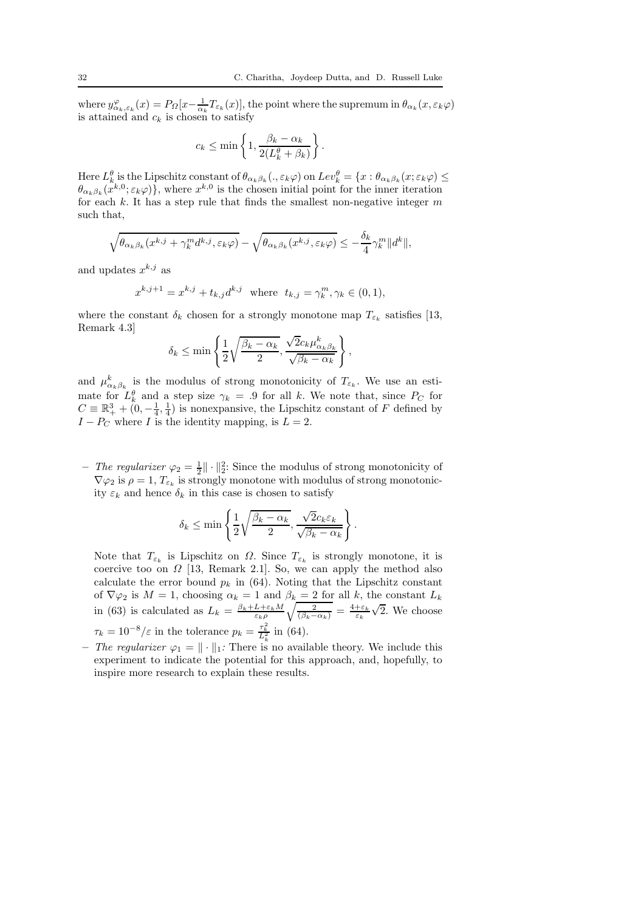.

where  $y^{\varphi}_{\alpha_k,\varepsilon_k}(x) = P_{\Omega}[x - \frac{1}{\alpha_k}T_{\varepsilon_k}(x)]$ , the point where the supremum in  $\theta_{\alpha_k}(x, \varepsilon_k \varphi)$ is attained and  $c_k$  is chosen to satisfy

$$
c_k \le \min\left\{1, \frac{\beta_k - \alpha_k}{2(L_k^{\theta} + \beta_k)}\right\}
$$

Here  $L_k^{\theta}$  is the Lipschitz constant of  $\theta_{\alpha_k\beta_k}(.,\varepsilon_k\varphi)$  on  $Lev_k^{\theta} = \{x : \theta_{\alpha_k\beta_k}(x;\varepsilon_k\varphi) \le$  $\theta_{\alpha_k\beta_k}(x^{k,0}; \varepsilon_k\varphi)$ , where  $x^{k,0}$  is the chosen initial point for the inner iteration for each  $k$ . It has a step rule that finds the smallest non-negative integer  $m$ such that,

$$
\sqrt{\theta_{\alpha_k\beta_k}(x^{k,j} + \gamma_k^m d^{k,j}, \varepsilon_k \varphi)} - \sqrt{\theta_{\alpha_k\beta_k}(x^{k,j}, \varepsilon_k \varphi)} \le -\frac{\delta_k}{4} \gamma_k^m \|d^k\|,
$$

and updates  $x^{k,j}$  as

$$
x^{k,j+1} = x^{k,j} + t_{k,j}d^{k,j} \text{ where } t_{k,j} = \gamma_k^m, \gamma_k \in (0,1),
$$

where the constant  $\delta_k$  chosen for a strongly monotone map  $T_{\varepsilon_k}$  satisfies [13, Remark 4.3]

$$
\delta_k \le \min\left\{\frac{1}{2}\sqrt{\frac{\beta_k-\alpha_k}{2}}, \frac{\sqrt{2}c_k\mu_{\alpha_k\beta_k}^k}{\sqrt{\beta_k-\alpha_k}}\right\},\,
$$

and  $\mu_{\alpha_k\beta_k}^k$  is the modulus of strong monotonicity of  $T_{\varepsilon_k}$ . We use an estimate for  $L_k^{\theta}$  and a step size  $\gamma_k = .9$  for all k. We note that, since  $P_C$  for  $C \equiv \mathbb{R}^3_+ + (0, -\frac{1}{4}, \frac{1}{4})$  is nonexpansive, the Lipschitz constant of F defined by  $I - P_C$  where I is the identity mapping, is  $L = 2$ .

- The regularizer  $\varphi_2 = \frac{1}{2} || \cdot ||_2^2$ : Since the modulus of strong monotonicity of  $\nabla \varphi_2$  is  $\rho = 1, T_{\varepsilon_k}$  is strongly monotone with modulus of strong monotonicity  $\varepsilon_k$  and hence  $\delta_k$  in this case is chosen to satisfy

$$
\delta_k \le \min\left\{\frac{1}{2}\sqrt{\frac{\beta_k - \alpha_k}{2}}, \frac{\sqrt{2}c_k \varepsilon_k}{\sqrt{\beta_k - \alpha_k}}\right\}.
$$

Note that  $T_{\varepsilon_k}$  is Lipschitz on  $\Omega$ . Since  $T_{\varepsilon_k}$  is strongly monotone, it is coercive too on  $\Omega$  [13, Remark 2.1]. So, we can apply the method also calculate the error bound  $p_k$  in (64). Noting that the Lipschitz constant of  $\nabla \varphi_2$  is  $M = 1$ , choosing  $\alpha_k = 1$  and  $\beta_k = 2$  for all k, the constant  $L_k$ in (63) is calculated as  $L_k = \frac{\beta_k + L + \varepsilon_k M}{\varepsilon_k \rho} \sqrt{\frac{2}{(\beta_k - \alpha_k)}} = \frac{4 + \varepsilon_k}{\varepsilon_k}$  $\sqrt{2}$ . We choose  $\tau_k = 10^{-8}/\varepsilon$  in the tolerance  $p_k = \frac{\tau_k^2}{L_k^2}$  in (64).

– The regularizer  $\varphi_1 = \|\cdot\|_1$ : There is no available theory. We include this experiment to indicate the potential for this approach, and, hopefully, to inspire more research to explain these results.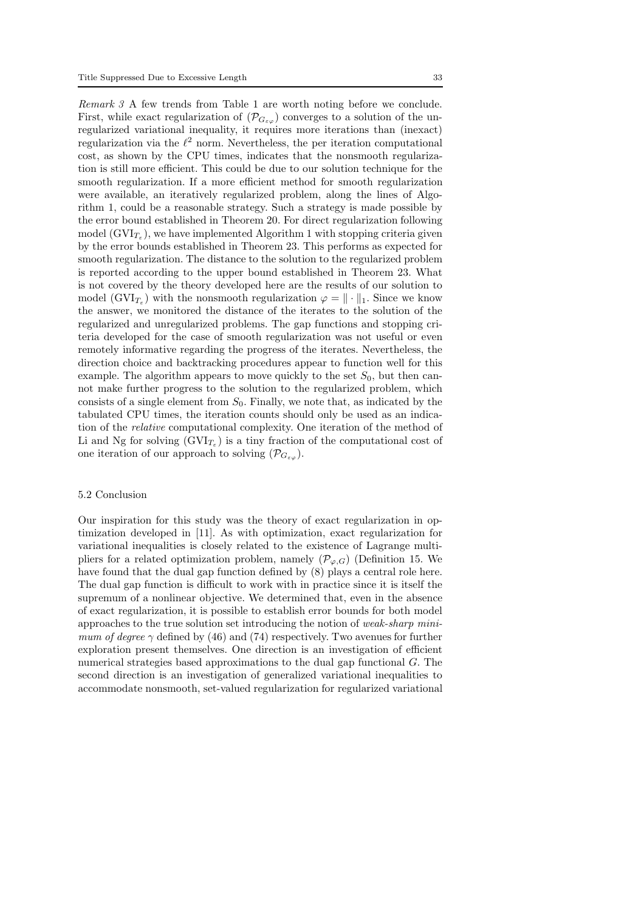Remark 3 A few trends from Table 1 are worth noting before we conclude. First, while exact regularization of  $(\mathcal{P}_{G_{\varepsilon\omega}})$  converges to a solution of the unregularized variational inequality, it requires more iterations than (inexact) regularization via the  $\ell^2$  norm. Nevertheless, the per iteration computational cost, as shown by the CPU times, indicates that the nonsmooth regularization is still more efficient. This could be due to our solution technique for the smooth regularization. If a more efficient method for smooth regularization were available, an iteratively regularized problem, along the lines of Algorithm 1, could be a reasonable strategy. Such a strategy is made possible by the error bound established in Theorem 20. For direct regularization following model  $(\text{GVI}_{T_\varepsilon})$ , we have implemented Algorithm 1 with stopping criteria given by the error bounds established in Theorem 23. This performs as expected for smooth regularization. The distance to the solution to the regularized problem is reported according to the upper bound established in Theorem 23. What is not covered by the theory developed here are the results of our solution to model ( $\text{GVI}_{T_{\varepsilon}}$ ) with the nonsmooth regularization  $\varphi = \|\cdot\|_1$ . Since we know the answer, we monitored the distance of the iterates to the solution of the regularized and unregularized problems. The gap functions and stopping criteria developed for the case of smooth regularization was not useful or even remotely informative regarding the progress of the iterates. Nevertheless, the direction choice and backtracking procedures appear to function well for this example. The algorithm appears to move quickly to the set  $S_0$ , but then cannot make further progress to the solution to the regularized problem, which consists of a single element from  $S_0$ . Finally, we note that, as indicated by the tabulated CPU times, the iteration counts should only be used as an indication of the relative computational complexity. One iteration of the method of Li and Ng for solving  $(GVI_{T_{\varepsilon}})$  is a tiny fraction of the computational cost of one iteration of our approach to solving  $(\mathcal{P}_{G_{\varepsilon,o}})$ .

### 5.2 Conclusion

Our inspiration for this study was the theory of exact regularization in optimization developed in [11]. As with optimization, exact regularization for variational inequalities is closely related to the existence of Lagrange multipliers for a related optimization problem, namely  $(\mathcal{P}_{\varphi,G})$  (Definition 15. We have found that the dual gap function defined by (8) plays a central role here. The dual gap function is difficult to work with in practice since it is itself the supremum of a nonlinear objective. We determined that, even in the absence of exact regularization, it is possible to establish error bounds for both model approaches to the true solution set introducing the notion of weak-sharp minimum of degree  $\gamma$  defined by (46) and (74) respectively. Two avenues for further exploration present themselves. One direction is an investigation of efficient numerical strategies based approximations to the dual gap functional G. The second direction is an investigation of generalized variational inequalities to accommodate nonsmooth, set-valued regularization for regularized variational